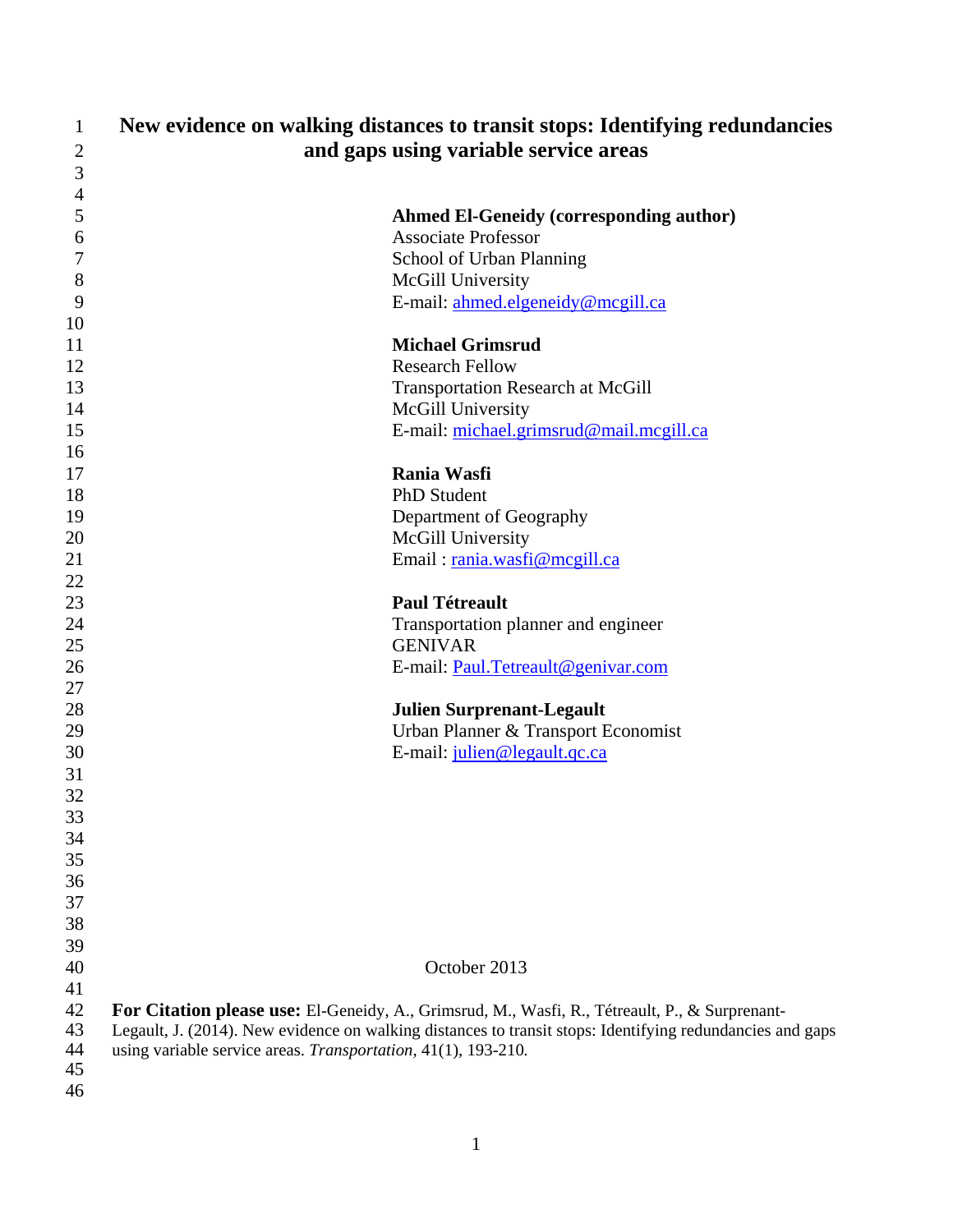| 1              | New evidence on walking distances to transit stops: Identifying redundancies                              |
|----------------|-----------------------------------------------------------------------------------------------------------|
| $\overline{2}$ | and gaps using variable service areas                                                                     |
| 3              |                                                                                                           |
| 4              |                                                                                                           |
| 5              | <b>Ahmed El-Geneidy (corresponding author)</b>                                                            |
| 6              | <b>Associate Professor</b>                                                                                |
| 7              | School of Urban Planning                                                                                  |
| 8              | McGill University                                                                                         |
| 9              | E-mail: ahmed.elgeneidy@mcgill.ca                                                                         |
| 10             |                                                                                                           |
| 11             | <b>Michael Grimsrud</b>                                                                                   |
| 12             | <b>Research Fellow</b>                                                                                    |
| 13             | <b>Transportation Research at McGill</b>                                                                  |
| 14             | McGill University                                                                                         |
| 15             | E-mail: michael.grimsrud@mail.mcgill.ca                                                                   |
| 16             |                                                                                                           |
| 17             | <b>Rania Wasfi</b>                                                                                        |
| 18             | <b>PhD</b> Student                                                                                        |
| 19             | Department of Geography                                                                                   |
| 20             | McGill University                                                                                         |
| 21             | Email: rania.wasfi@mcgill.ca                                                                              |
| 22             |                                                                                                           |
| 23             | <b>Paul Tétreault</b>                                                                                     |
| 24             | Transportation planner and engineer                                                                       |
| 25             | <b>GENIVAR</b>                                                                                            |
| 26             | E-mail: Paul.Tetreault@genivar.com                                                                        |
| 27             |                                                                                                           |
| 28             | <b>Julien Surprenant-Legault</b>                                                                          |
| 29             | Urban Planner & Transport Economist                                                                       |
| 30             | E-mail: julien@legault.qc.ca                                                                              |
| 31             |                                                                                                           |
| 32             |                                                                                                           |
| 33             |                                                                                                           |
| 34             |                                                                                                           |
| 35             |                                                                                                           |
| 36             |                                                                                                           |
| 37             |                                                                                                           |
| 38             |                                                                                                           |
| 39             |                                                                                                           |
| 40             | October 2013                                                                                              |
| 41             |                                                                                                           |
| 42             | <b>For Citation please use:</b> El-Geneidy, A., Grimsrud, M., Wasfi, R., Tétreault, P., & Surprenant-     |
| 43             | Legault, J. (2014). New evidence on walking distances to transit stops: Identifying redundancies and gaps |
| 44<br>45       | using variable service areas. Transportation, 41(1), 193-210.                                             |
| 46             |                                                                                                           |
|                |                                                                                                           |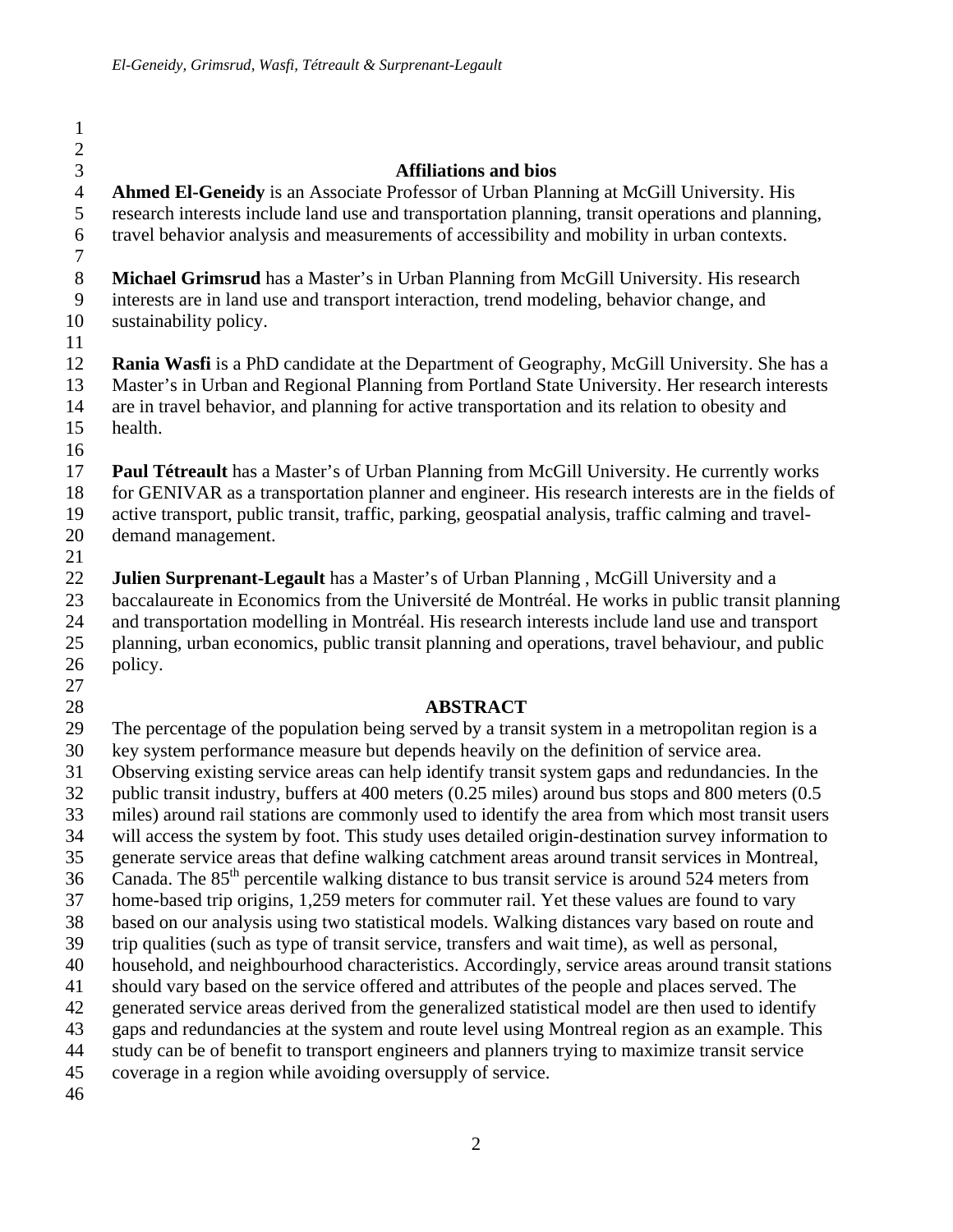### 3 **Affiliations and bios**

4 **Ahmed El-Geneidy** is an Associate Professor of Urban Planning at McGill University. His research interests include land use and transportation planning, transit operations and planni 5 research interests include land use and transportation planning, transit operations and planning, 6 travel behavior analysis and measurements of accessibility and mobility in urban contexts.

7

1 2

8 **Michael Grimsrud** has a Master's in Urban Planning from McGill University. His research 9 interests are in land use and transport interaction, trend modeling, behavior change, and 10 sustainability policy.

11

12 **Rania Wasfi** is a PhD candidate at the Department of Geography, McGill University. She has a 13 Master's in Urban and Regional Planning from Portland State University. Her research interests 14 are in travel behavior, and planning for active transportation and its relation to obesity and 15 health.

16

17 **Paul Tétreault** has a Master's of Urban Planning from McGill University. He currently works 18 for GENIVAR as a transportation planner and engineer. His research interests are in the fields of 19 active transport, public transit, traffic, parking, geospatial analysis, traffic calming and travel-20 demand management.

21

22 **Julien Surprenant-Legault** has a Master's of Urban Planning , McGill University and a 23 baccalaureate in Economics from the Université de Montréal. He works in public transit planning 24 and transportation modelling in Montréal. His research interests include land use and transport 25 planning, urban economics, public transit planning and operations, travel behaviour, and public 26 policy.

27

### 28 **ABSTRACT**

29 The percentage of the population being served by a transit system in a metropolitan region is a

30 key system performance measure but depends heavily on the definition of service area. 31 Observing existing service areas can help identify transit system gaps and redundancies. In the

32 public transit industry, buffers at 400 meters (0.25 miles) around bus stops and 800 meters (0.5

33 miles) around rail stations are commonly used to identify the area from which most transit users

34 will access the system by foot. This study uses detailed origin-destination survey information to

35 generate service areas that define walking catchment areas around transit services in Montreal,

36 Canada. The  $85<sup>th</sup>$  percentile walking distance to bus transit service is around 524 meters from

37 home-based trip origins, 1,259 meters for commuter rail. Yet these values are found to vary

38 based on our analysis using two statistical models. Walking distances vary based on route and

39 trip qualities (such as type of transit service, transfers and wait time), as well as personal, 40 household, and neighbourhood characteristics. Accordingly, service areas around transit stations

41 should vary based on the service offered and attributes of the people and places served. The

42 generated service areas derived from the generalized statistical model are then used to identify

43 gaps and redundancies at the system and route level using Montreal region as an example. This

44 study can be of benefit to transport engineers and planners trying to maximize transit service

45 coverage in a region while avoiding oversupply of service.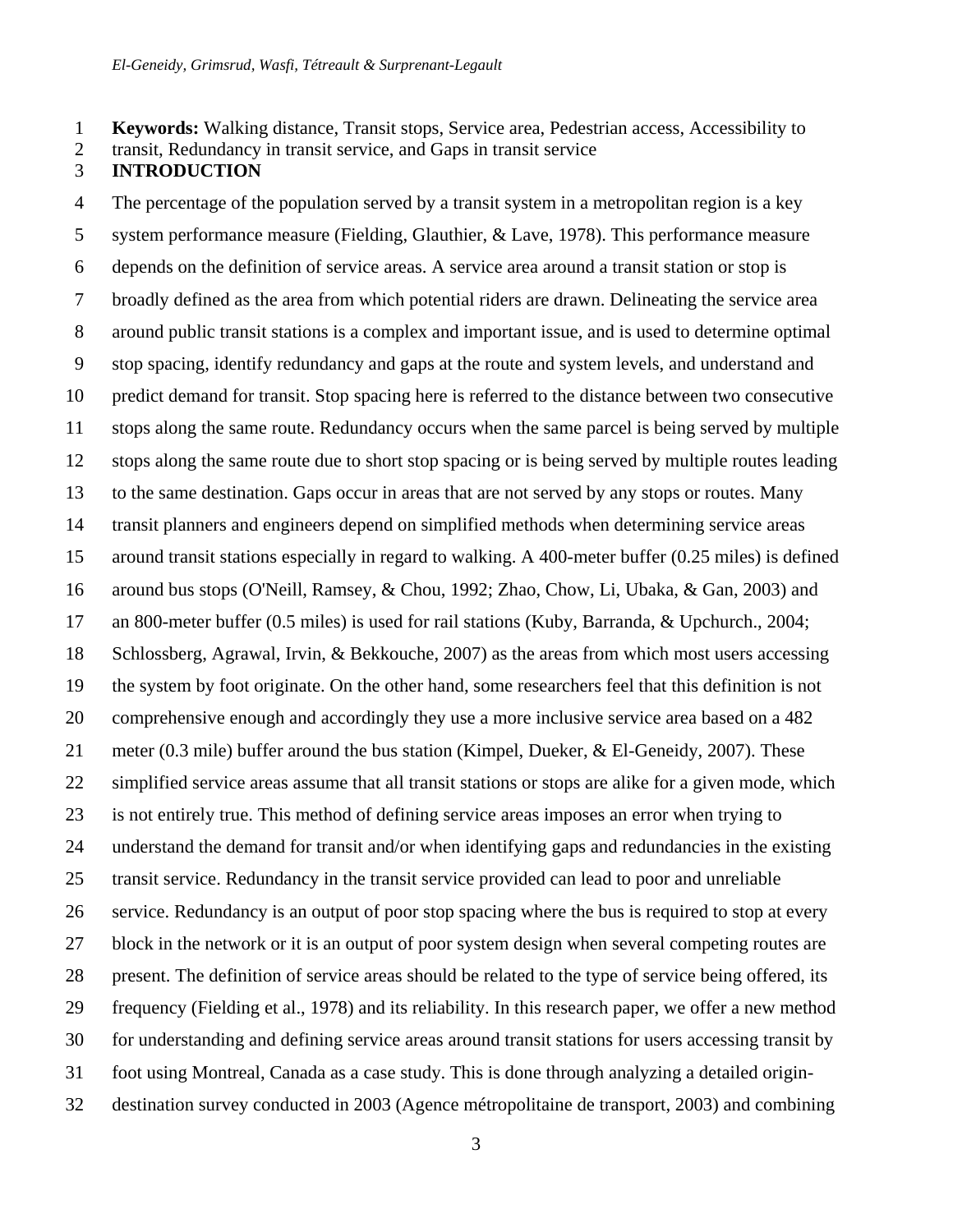1 **Keywords:** Walking distance, Transit stops, Service area, Pedestrian access, Accessibility to

2 transit, Redundancy in transit service, and Gaps in transit service

### 3 **INTRODUCTION**

4 The percentage of the population served by a transit system in a metropolitan region is a key 5 system performance measure (Fielding, Glauthier, & Lave, 1978). This performance measure 6 depends on the definition of service areas. A service area around a transit station or stop is 7 broadly defined as the area from which potential riders are drawn. Delineating the service area 8 around public transit stations is a complex and important issue, and is used to determine optimal 9 stop spacing, identify redundancy and gaps at the route and system levels, and understand and 10 predict demand for transit. Stop spacing here is referred to the distance between two consecutive 11 stops along the same route. Redundancy occurs when the same parcel is being served by multiple 12 stops along the same route due to short stop spacing or is being served by multiple routes leading 13 to the same destination. Gaps occur in areas that are not served by any stops or routes. Many 14 transit planners and engineers depend on simplified methods when determining service areas 15 around transit stations especially in regard to walking. A 400-meter buffer (0.25 miles) is defined 16 around bus stops (O'Neill, Ramsey, & Chou, 1992; Zhao, Chow, Li, Ubaka, & Gan, 2003) and 17 an 800-meter buffer (0.5 miles) is used for rail stations (Kuby, Barranda, & Upchurch., 2004; 18 Schlossberg, Agrawal, Irvin, & Bekkouche, 2007) as the areas from which most users accessing 19 the system by foot originate. On the other hand, some researchers feel that this definition is not 20 comprehensive enough and accordingly they use a more inclusive service area based on a 482 21 meter (0.3 mile) buffer around the bus station (Kimpel, Dueker, & El-Geneidy, 2007). These 22 simplified service areas assume that all transit stations or stops are alike for a given mode, which 23 is not entirely true. This method of defining service areas imposes an error when trying to 24 understand the demand for transit and/or when identifying gaps and redundancies in the existing 25 transit service. Redundancy in the transit service provided can lead to poor and unreliable 26 service. Redundancy is an output of poor stop spacing where the bus is required to stop at every 27 block in the network or it is an output of poor system design when several competing routes are 28 present. The definition of service areas should be related to the type of service being offered, its 29 frequency (Fielding et al., 1978) and its reliability. In this research paper, we offer a new method 30 for understanding and defining service areas around transit stations for users accessing transit by 31 foot using Montreal, Canada as a case study. This is done through analyzing a detailed origin-32 destination survey conducted in 2003 (Agence métropolitaine de transport, 2003) and combining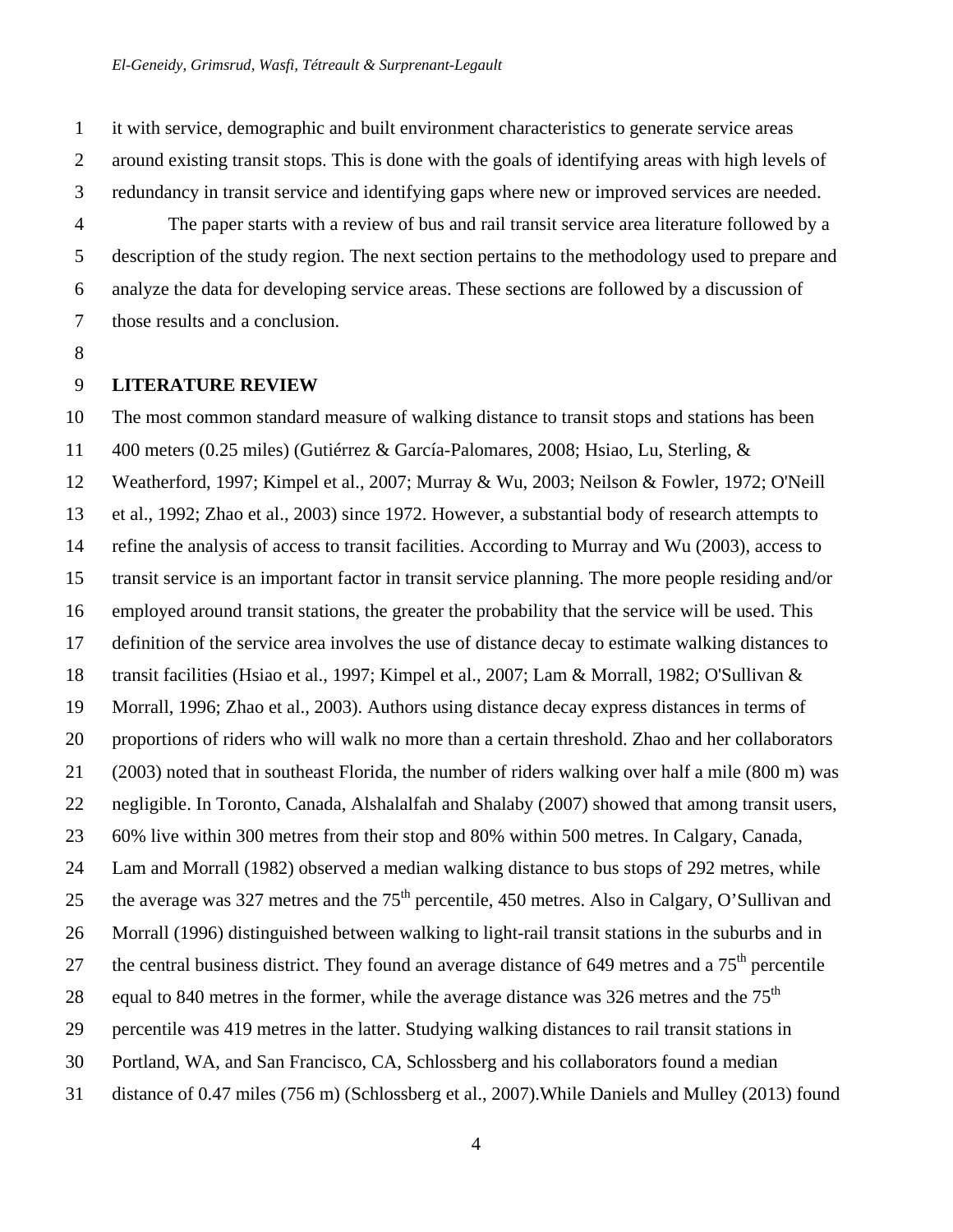1 it with service, demographic and built environment characteristics to generate service areas 2 around existing transit stops. This is done with the goals of identifying areas with high levels of 3 redundancy in transit service and identifying gaps where new or improved services are needed.

4 The paper starts with a review of bus and rail transit service area literature followed by a 5 description of the study region. The next section pertains to the methodology used to prepare and 6 analyze the data for developing service areas. These sections are followed by a discussion of 7 those results and a conclusion.

8

#### 9 **LITERATURE REVIEW**

10 The most common standard measure of walking distance to transit stops and stations has been 11 400 meters (0.25 miles) (Gutiérrez & García-Palomares, 2008; Hsiao, Lu, Sterling, & 12 Weatherford, 1997; Kimpel et al., 2007; Murray & Wu, 2003; Neilson & Fowler, 1972; O'Neill 13 et al., 1992; Zhao et al., 2003) since 1972. However, a substantial body of research attempts to 14 refine the analysis of access to transit facilities. According to Murray and Wu (2003), access to 15 transit service is an important factor in transit service planning. The more people residing and/or 16 employed around transit stations, the greater the probability that the service will be used. This 17 definition of the service area involves the use of distance decay to estimate walking distances to 18 transit facilities (Hsiao et al., 1997; Kimpel et al., 2007; Lam & Morrall, 1982; O'Sullivan & 19 Morrall, 1996; Zhao et al., 2003). Authors using distance decay express distances in terms of 20 proportions of riders who will walk no more than a certain threshold. Zhao and her collaborators 21 (2003) noted that in southeast Florida, the number of riders walking over half a mile (800 m) was 22 negligible. In Toronto, Canada, Alshalalfah and Shalaby (2007) showed that among transit users, 23 60% live within 300 metres from their stop and 80% within 500 metres. In Calgary, Canada, 24 Lam and Morrall (1982) observed a median walking distance to bus stops of 292 metres, while 25 the average was 327 metres and the  $75<sup>th</sup>$  percentile, 450 metres. Also in Calgary, O'Sullivan and 26 Morrall (1996) distinguished between walking to light-rail transit stations in the suburbs and in 27 the central business district. They found an average distance of 649 metres and a  $75<sup>th</sup>$  percentile 28 equal to 840 metres in the former, while the average distance was 326 metres and the  $75<sup>th</sup>$ 29 percentile was 419 metres in the latter. Studying walking distances to rail transit stations in 30 Portland, WA, and San Francisco, CA, Schlossberg and his collaborators found a median 31 distance of 0.47 miles (756 m) (Schlossberg et al., 2007).While Daniels and Mulley (2013) found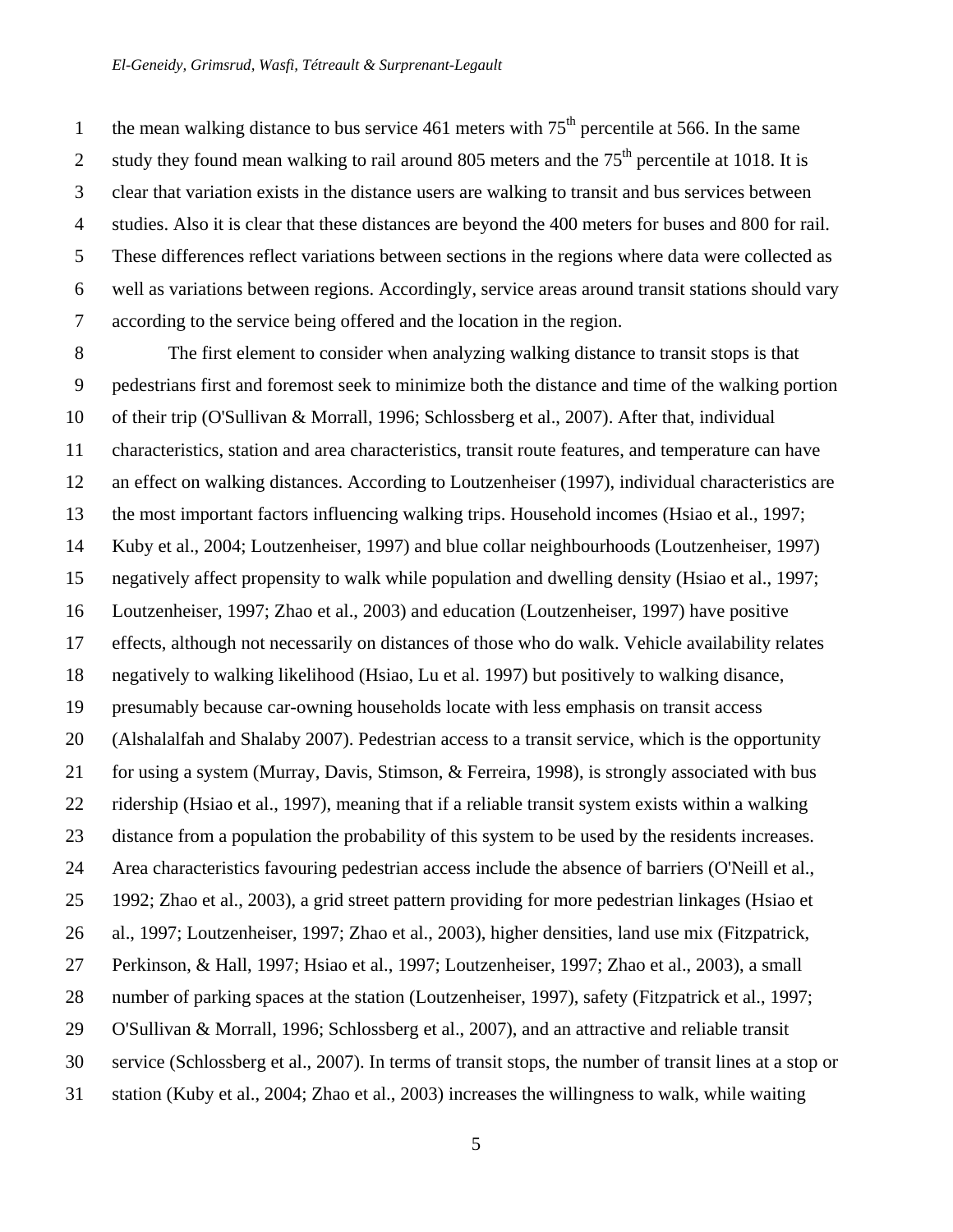the mean walking distance to bus service 461 meters with  $75<sup>th</sup>$  percentile at 566. In the same 2 study they found mean walking to rail around 805 meters and the  $75<sup>th</sup>$  percentile at 1018. It is 3 clear that variation exists in the distance users are walking to transit and bus services between 4 studies. Also it is clear that these distances are beyond the 400 meters for buses and 800 for rail. 5 These differences reflect variations between sections in the regions where data were collected as 6 well as variations between regions. Accordingly, service areas around transit stations should vary 7 according to the service being offered and the location in the region.

8 The first element to consider when analyzing walking distance to transit stops is that 9 pedestrians first and foremost seek to minimize both the distance and time of the walking portion 10 of their trip (O'Sullivan & Morrall, 1996; Schlossberg et al., 2007). After that, individual 11 characteristics, station and area characteristics, transit route features, and temperature can have 12 an effect on walking distances. According to Loutzenheiser (1997), individual characteristics are 13 the most important factors influencing walking trips. Household incomes (Hsiao et al., 1997; 14 Kuby et al., 2004; Loutzenheiser, 1997) and blue collar neighbourhoods (Loutzenheiser, 1997) 15 negatively affect propensity to walk while population and dwelling density (Hsiao et al., 1997; 16 Loutzenheiser, 1997; Zhao et al., 2003) and education (Loutzenheiser, 1997) have positive 17 effects, although not necessarily on distances of those who do walk. Vehicle availability relates 18 negatively to walking likelihood (Hsiao, Lu et al. 1997) but positively to walking disance, 19 presumably because car-owning households locate with less emphasis on transit access 20 (Alshalalfah and Shalaby 2007). Pedestrian access to a transit service, which is the opportunity 21 for using a system (Murray, Davis, Stimson, & Ferreira, 1998), is strongly associated with bus 22 ridership (Hsiao et al., 1997), meaning that if a reliable transit system exists within a walking 23 distance from a population the probability of this system to be used by the residents increases. 24 Area characteristics favouring pedestrian access include the absence of barriers (O'Neill et al., 25 1992; Zhao et al., 2003), a grid street pattern providing for more pedestrian linkages (Hsiao et 26 al., 1997; Loutzenheiser, 1997; Zhao et al., 2003), higher densities, land use mix (Fitzpatrick, 27 Perkinson, & Hall, 1997; Hsiao et al., 1997; Loutzenheiser, 1997; Zhao et al., 2003), a small 28 number of parking spaces at the station (Loutzenheiser, 1997), safety (Fitzpatrick et al., 1997; 29 O'Sullivan & Morrall, 1996; Schlossberg et al., 2007), and an attractive and reliable transit 30 service (Schlossberg et al., 2007). In terms of transit stops, the number of transit lines at a stop or 31 station (Kuby et al., 2004; Zhao et al., 2003) increases the willingness to walk, while waiting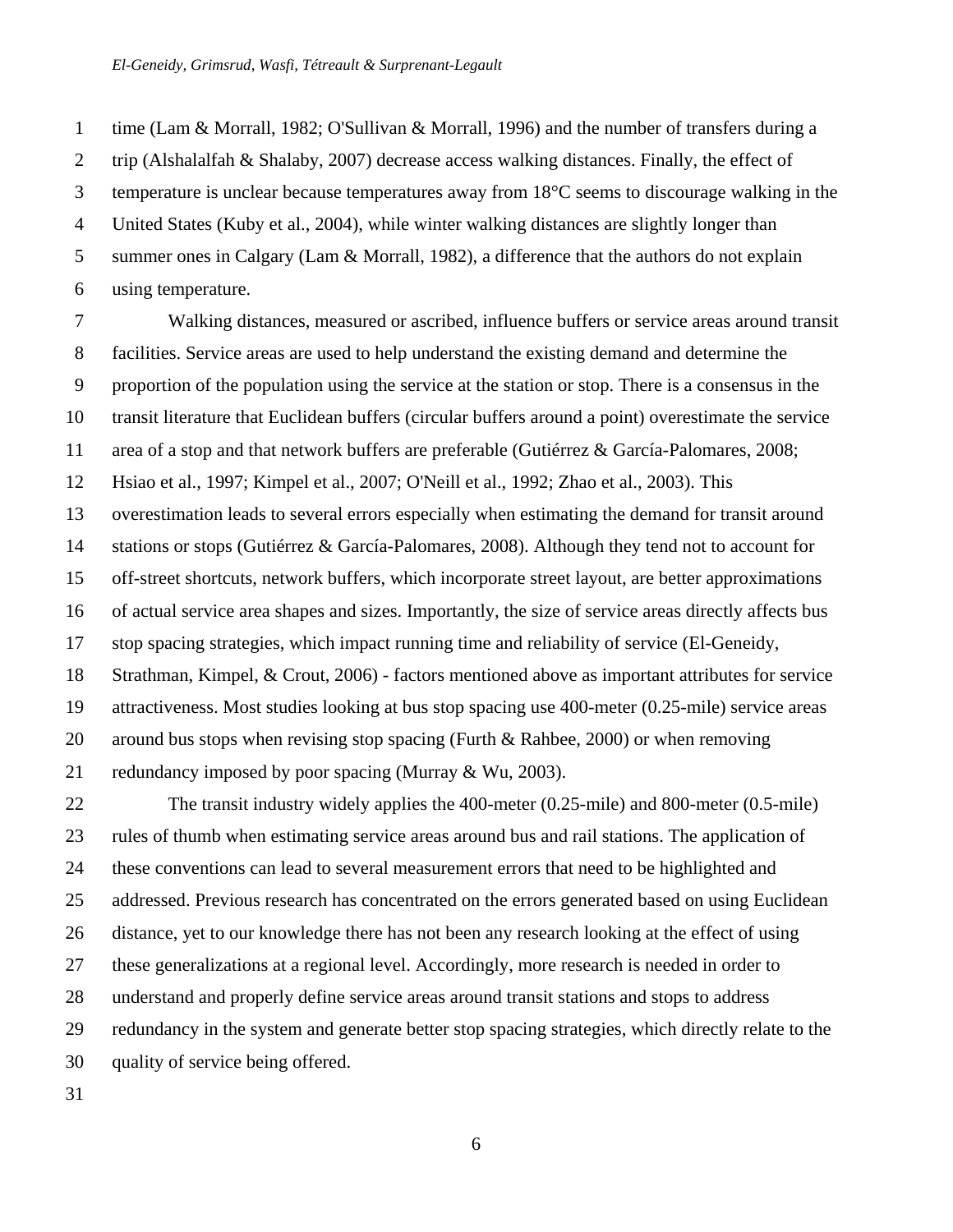1 time (Lam & Morrall, 1982; O'Sullivan & Morrall, 1996) and the number of transfers during a 2 trip (Alshalalfah & Shalaby, 2007) decrease access walking distances. Finally, the effect of 3 temperature is unclear because temperatures away from 18°C seems to discourage walking in the 4 United States (Kuby et al., 2004), while winter walking distances are slightly longer than 5 summer ones in Calgary (Lam & Morrall, 1982), a difference that the authors do not explain 6 using temperature.

7 Walking distances, measured or ascribed, influence buffers or service areas around transit 8 facilities. Service areas are used to help understand the existing demand and determine the 9 proportion of the population using the service at the station or stop. There is a consensus in the 10 transit literature that Euclidean buffers (circular buffers around a point) overestimate the service 11 area of a stop and that network buffers are preferable (Gutiérrez & García-Palomares, 2008; 12 Hsiao et al., 1997; Kimpel et al., 2007; O'Neill et al., 1992; Zhao et al., 2003). This 13 overestimation leads to several errors especially when estimating the demand for transit around 14 stations or stops (Gutiérrez & García-Palomares, 2008). Although they tend not to account for 15 off-street shortcuts, network buffers, which incorporate street layout, are better approximations 16 of actual service area shapes and sizes. Importantly, the size of service areas directly affects bus 17 stop spacing strategies, which impact running time and reliability of service (El-Geneidy, 18 Strathman, Kimpel, & Crout, 2006) - factors mentioned above as important attributes for service 19 attractiveness. Most studies looking at bus stop spacing use 400-meter (0.25-mile) service areas 20 around bus stops when revising stop spacing (Furth & Rahbee, 2000) or when removing 21 redundancy imposed by poor spacing (Murray & Wu, 2003).

22 The transit industry widely applies the 400-meter (0.25-mile) and 800-meter (0.5-mile) 23 rules of thumb when estimating service areas around bus and rail stations. The application of 24 these conventions can lead to several measurement errors that need to be highlighted and 25 addressed. Previous research has concentrated on the errors generated based on using Euclidean 26 distance, yet to our knowledge there has not been any research looking at the effect of using 27 these generalizations at a regional level. Accordingly, more research is needed in order to 28 understand and properly define service areas around transit stations and stops to address 29 redundancy in the system and generate better stop spacing strategies, which directly relate to the 30 quality of service being offered.

31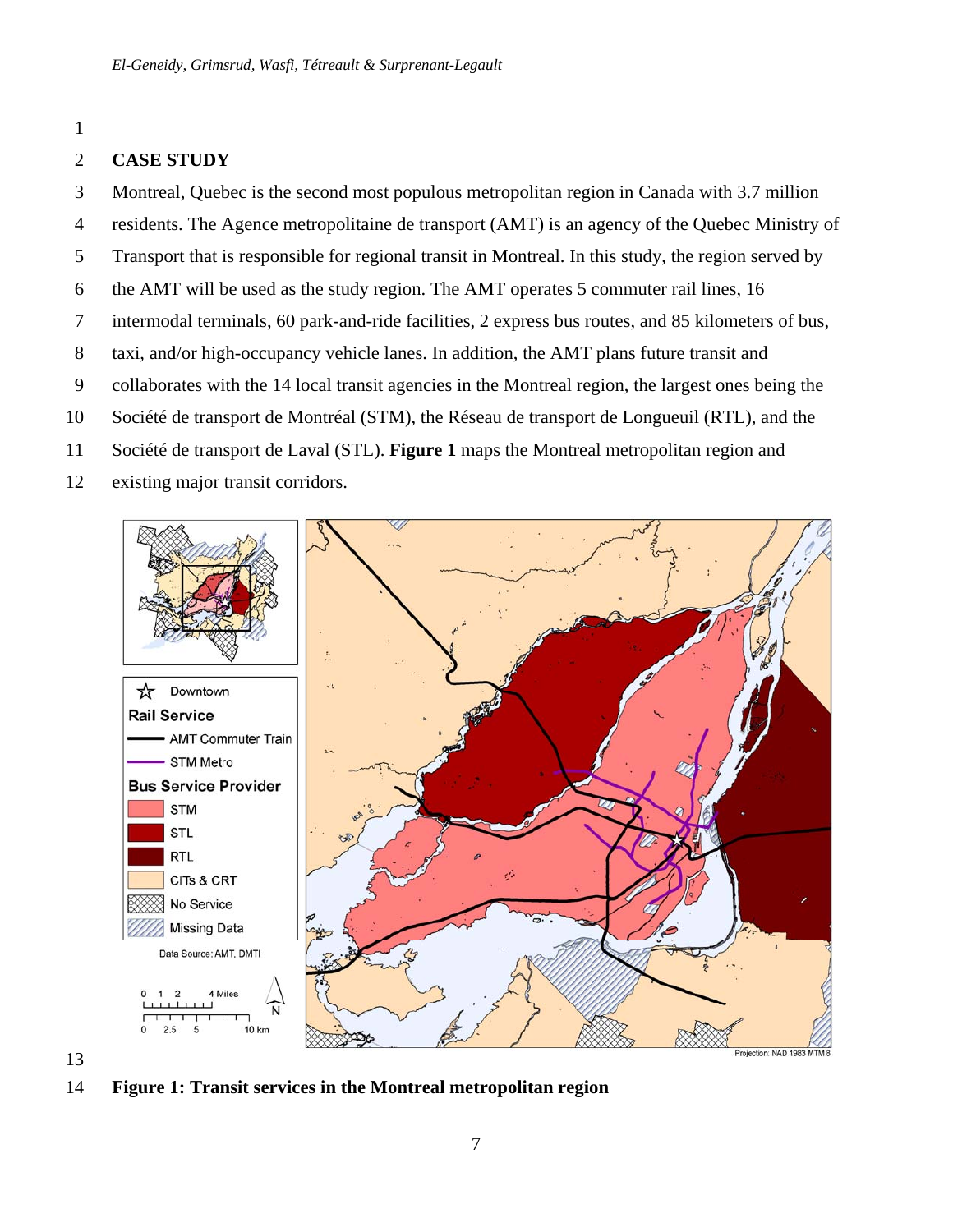### 2 **CASE STUDY**

- 3 Montreal, Quebec is the second most populous metropolitan region in Canada with 3.7 million 4 residents. The Agence metropolitaine de transport (AMT) is an agency of the Quebec Ministry of 5 Transport that is responsible for regional transit in Montreal. In this study, the region served by 6 the AMT will be used as the study region. The AMT operates 5 commuter rail lines, 16 7 intermodal terminals, 60 park-and-ride facilities, 2 express bus routes, and 85 kilometers of bus, 8 taxi, and/or high-occupancy vehicle lanes. In addition, the AMT plans future transit and 9 collaborates with the 14 local transit agencies in the Montreal region, the largest ones being the 10 Société de transport de Montréal (STM), the Réseau de transport de Longueuil (RTL), and the 11 Société de transport de Laval (STL). **Figure 1** maps the Montreal metropolitan region and
- 12 existing major transit corridors.



14 **Figure 1: Transit services in the Montreal metropolitan region**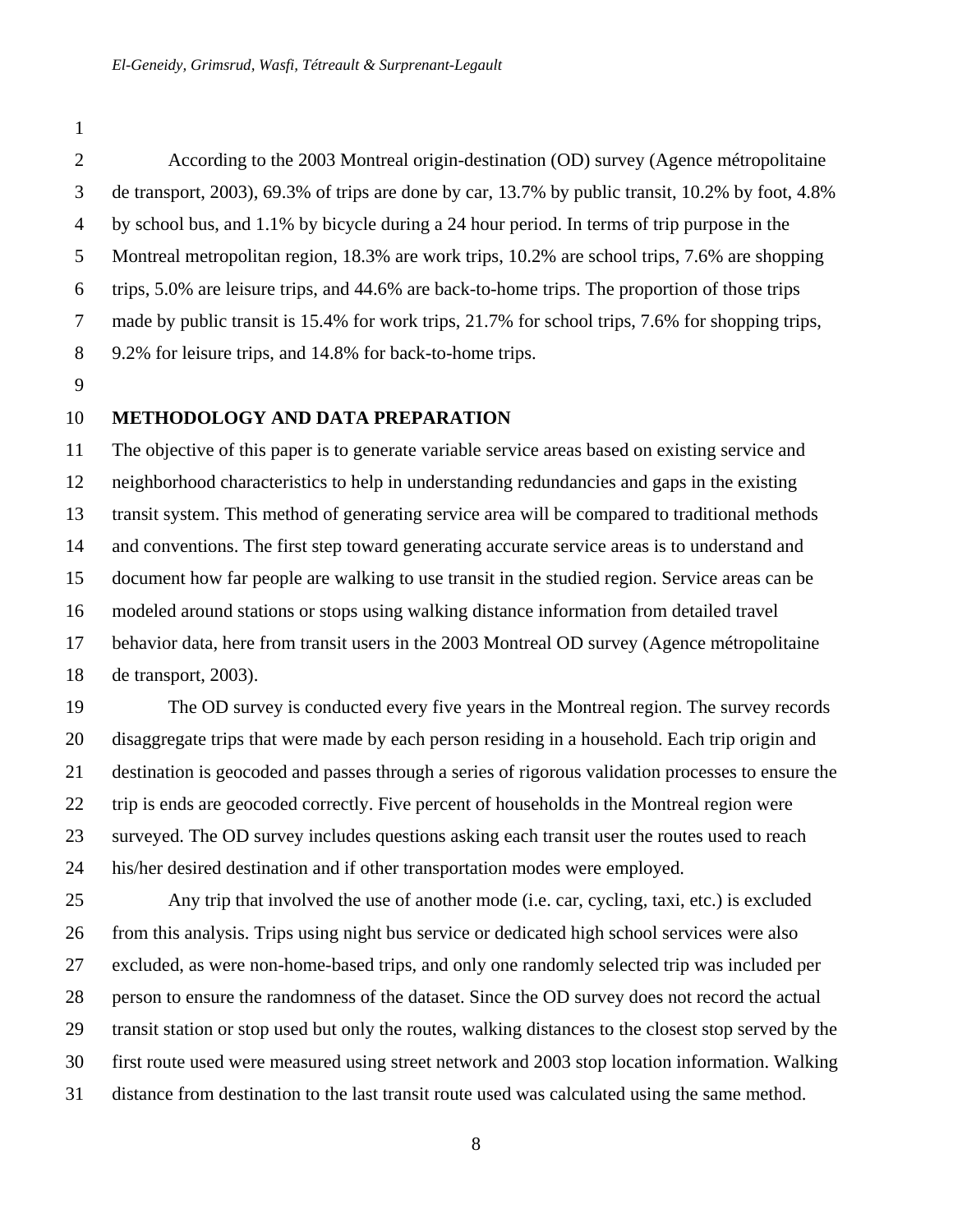2 According to the 2003 Montreal origin-destination (OD) survey (Agence métropolitaine 3 de transport, 2003), 69.3% of trips are done by car, 13.7% by public transit, 10.2% by foot, 4.8% 4 by school bus, and 1.1% by bicycle during a 24 hour period. In terms of trip purpose in the 5 Montreal metropolitan region, 18.3% are work trips, 10.2% are school trips, 7.6% are shopping 6 trips, 5.0% are leisure trips, and 44.6% are back-to-home trips. The proportion of those trips 7 made by public transit is 15.4% for work trips, 21.7% for school trips, 7.6% for shopping trips, 8 9.2% for leisure trips, and 14.8% for back-to-home trips.

9

### 10 **METHODOLOGY AND DATA PREPARATION**

11 The objective of this paper is to generate variable service areas based on existing service and 12 neighborhood characteristics to help in understanding redundancies and gaps in the existing 13 transit system. This method of generating service area will be compared to traditional methods 14 and conventions. The first step toward generating accurate service areas is to understand and 15 document how far people are walking to use transit in the studied region. Service areas can be 16 modeled around stations or stops using walking distance information from detailed travel 17 behavior data, here from transit users in the 2003 Montreal OD survey (Agence métropolitaine 18 de transport, 2003).

19 The OD survey is conducted every five years in the Montreal region. The survey records 20 disaggregate trips that were made by each person residing in a household. Each trip origin and 21 destination is geocoded and passes through a series of rigorous validation processes to ensure the 22 trip is ends are geocoded correctly. Five percent of households in the Montreal region were 23 surveyed. The OD survey includes questions asking each transit user the routes used to reach 24 his/her desired destination and if other transportation modes were employed.

25 Any trip that involved the use of another mode (i.e. car, cycling, taxi, etc.) is excluded 26 from this analysis. Trips using night bus service or dedicated high school services were also 27 excluded, as were non-home-based trips, and only one randomly selected trip was included per 28 person to ensure the randomness of the dataset. Since the OD survey does not record the actual 29 transit station or stop used but only the routes, walking distances to the closest stop served by the 30 first route used were measured using street network and 2003 stop location information. Walking 31 distance from destination to the last transit route used was calculated using the same method.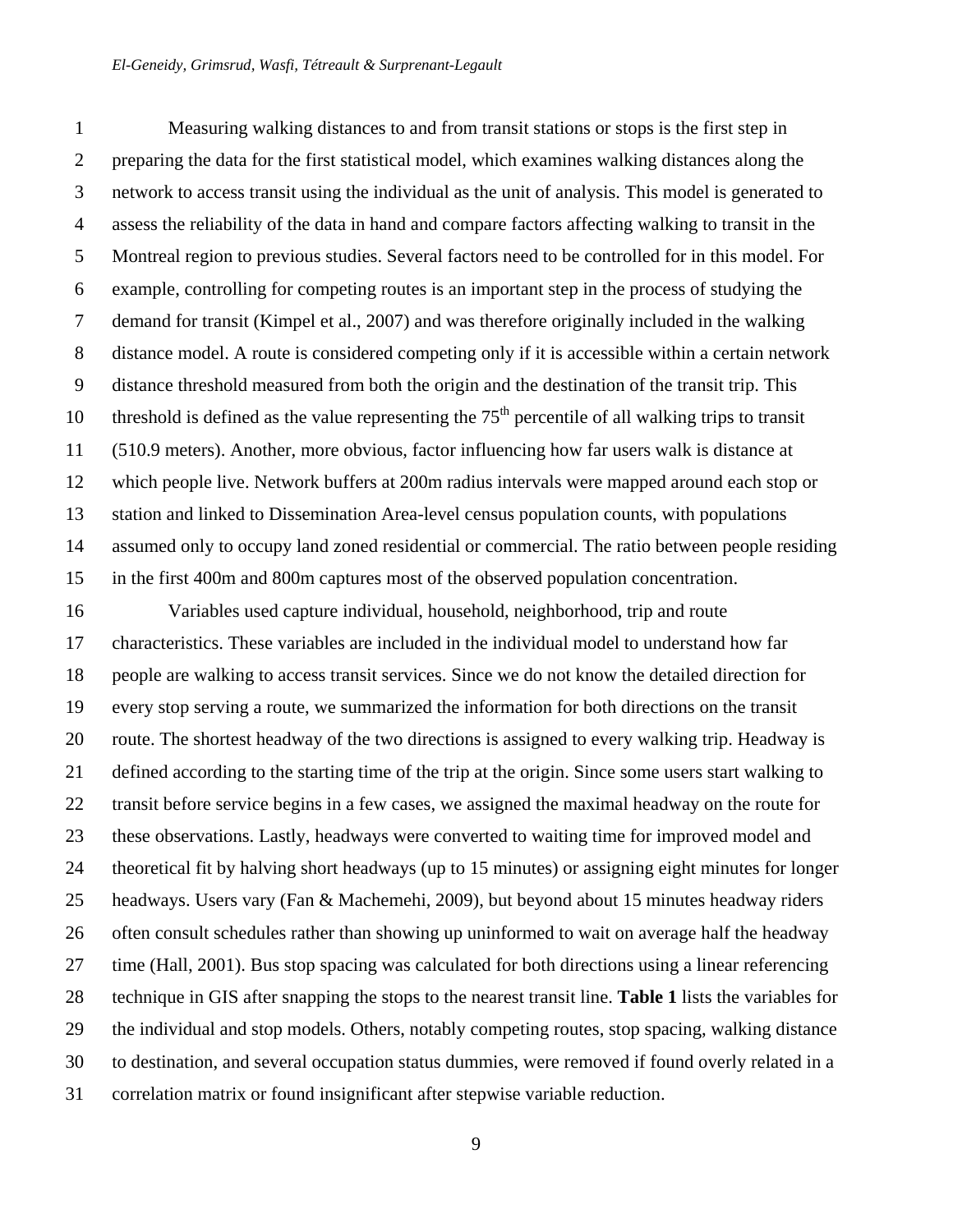#### *El-Geneidy, Grimsrud, Wasfi, Tétreault & Surprenant-Legault*

1 Measuring walking distances to and from transit stations or stops is the first step in 2 preparing the data for the first statistical model, which examines walking distances along the 3 network to access transit using the individual as the unit of analysis. This model is generated to 4 assess the reliability of the data in hand and compare factors affecting walking to transit in the 5 Montreal region to previous studies. Several factors need to be controlled for in this model. For 6 example, controlling for competing routes is an important step in the process of studying the 7 demand for transit (Kimpel et al., 2007) and was therefore originally included in the walking 8 distance model. A route is considered competing only if it is accessible within a certain network 9 distance threshold measured from both the origin and the destination of the transit trip. This 10 threshold is defined as the value representing the  $75<sup>th</sup>$  percentile of all walking trips to transit 11 (510.9 meters). Another, more obvious, factor influencing how far users walk is distance at 12 which people live. Network buffers at 200m radius intervals were mapped around each stop or 13 station and linked to Dissemination Area-level census population counts, with populations 14 assumed only to occupy land zoned residential or commercial. The ratio between people residing 15 in the first 400m and 800m captures most of the observed population concentration.

16 Variables used capture individual, household, neighborhood, trip and route 17 characteristics. These variables are included in the individual model to understand how far 18 people are walking to access transit services. Since we do not know the detailed direction for 19 every stop serving a route, we summarized the information for both directions on the transit 20 route. The shortest headway of the two directions is assigned to every walking trip. Headway is 21 defined according to the starting time of the trip at the origin. Since some users start walking to 22 transit before service begins in a few cases, we assigned the maximal headway on the route for 23 these observations. Lastly, headways were converted to waiting time for improved model and 24 theoretical fit by halving short headways (up to 15 minutes) or assigning eight minutes for longer 25 headways. Users vary (Fan & Machemehi, 2009), but beyond about 15 minutes headway riders 26 often consult schedules rather than showing up uninformed to wait on average half the headway 27 time (Hall, 2001). Bus stop spacing was calculated for both directions using a linear referencing 28 technique in GIS after snapping the stops to the nearest transit line. **Table 1** lists the variables for 29 the individual and stop models. Others, notably competing routes, stop spacing, walking distance 30 to destination, and several occupation status dummies, were removed if found overly related in a 31 correlation matrix or found insignificant after stepwise variable reduction.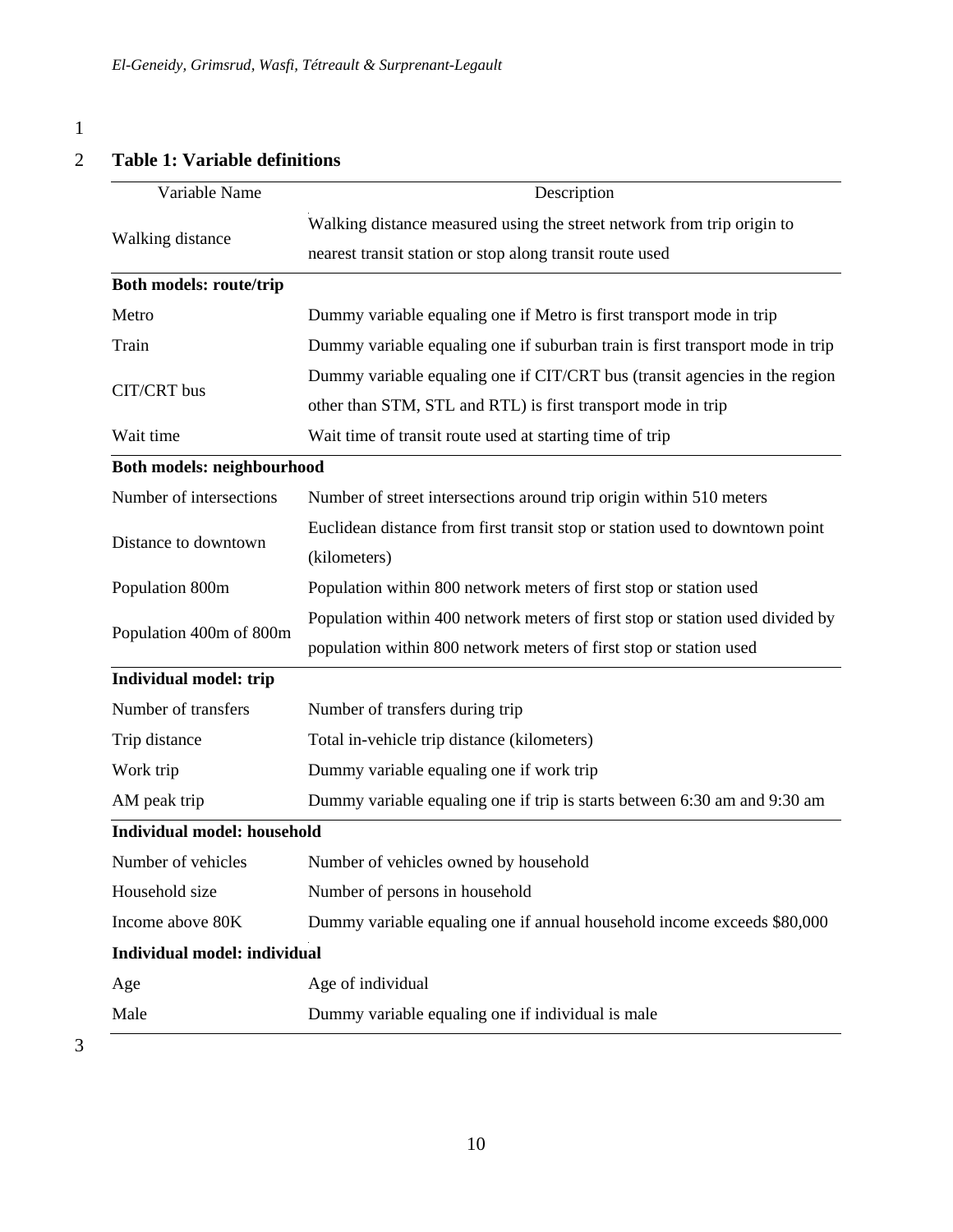### 2 **Table 1: Variable definitions**

| Variable Name                       | Description                                                                   |  |  |  |  |  |
|-------------------------------------|-------------------------------------------------------------------------------|--|--|--|--|--|
|                                     | Walking distance measured using the street network from trip origin to        |  |  |  |  |  |
| Walking distance                    | nearest transit station or stop along transit route used                      |  |  |  |  |  |
| <b>Both models: route/trip</b>      |                                                                               |  |  |  |  |  |
| Metro                               | Dummy variable equaling one if Metro is first transport mode in trip          |  |  |  |  |  |
| Train                               | Dummy variable equaling one if suburban train is first transport mode in trip |  |  |  |  |  |
|                                     | Dummy variable equaling one if CIT/CRT bus (transit agencies in the region    |  |  |  |  |  |
| CIT/CRT bus                         | other than STM, STL and RTL) is first transport mode in trip                  |  |  |  |  |  |
| Wait time                           | Wait time of transit route used at starting time of trip                      |  |  |  |  |  |
| <b>Both models: neighbourhood</b>   |                                                                               |  |  |  |  |  |
| Number of intersections             | Number of street intersections around trip origin within 510 meters           |  |  |  |  |  |
| Distance to downtown                | Euclidean distance from first transit stop or station used to downtown point  |  |  |  |  |  |
|                                     | (kilometers)                                                                  |  |  |  |  |  |
| Population 800m                     | Population within 800 network meters of first stop or station used            |  |  |  |  |  |
|                                     | Population within 400 network meters of first stop or station used divided by |  |  |  |  |  |
| Population 400m of 800m             | population within 800 network meters of first stop or station used            |  |  |  |  |  |
| <b>Individual model: trip</b>       |                                                                               |  |  |  |  |  |
| Number of transfers                 | Number of transfers during trip                                               |  |  |  |  |  |
| Trip distance                       | Total in-vehicle trip distance (kilometers)                                   |  |  |  |  |  |
| Work trip                           | Dummy variable equaling one if work trip                                      |  |  |  |  |  |
| AM peak trip                        | Dummy variable equaling one if trip is starts between 6:30 am and 9:30 am     |  |  |  |  |  |
| <b>Individual model: household</b>  |                                                                               |  |  |  |  |  |
| Number of vehicles                  | Number of vehicles owned by household                                         |  |  |  |  |  |
| Household size                      | Number of persons in household                                                |  |  |  |  |  |
| Income above 80K                    | Dummy variable equaling one if annual household income exceeds \$80,000       |  |  |  |  |  |
| <b>Individual model: individual</b> |                                                                               |  |  |  |  |  |
| Age                                 | Age of individual                                                             |  |  |  |  |  |
| Male                                | Dummy variable equaling one if individual is male                             |  |  |  |  |  |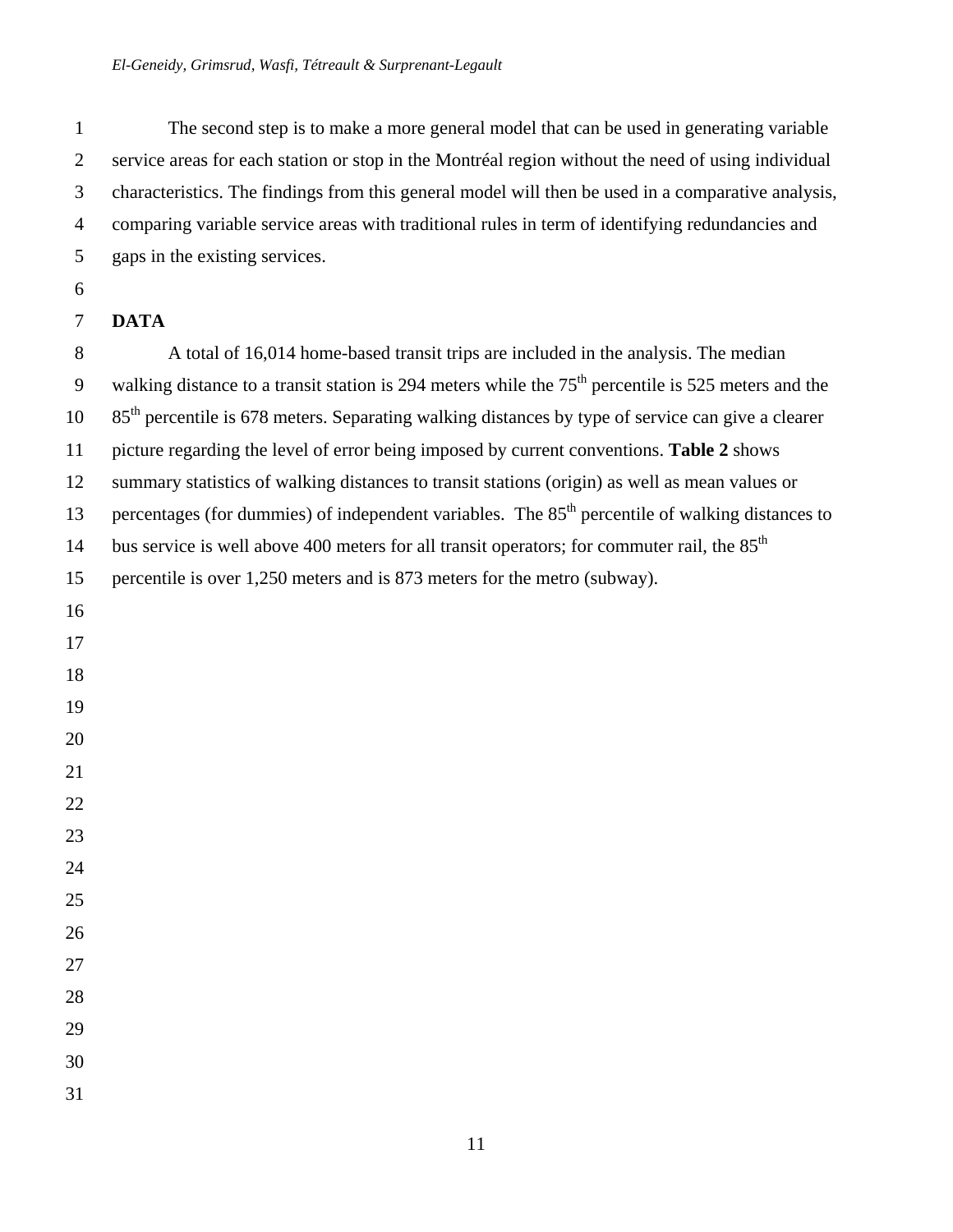1 The second step is to make a more general model that can be used in generating variable 2 service areas for each station or stop in the Montréal region without the need of using individual 3 characteristics. The findings from this general model will then be used in a comparative analysis, 4 comparing variable service areas with traditional rules in term of identifying redundancies and 5 gaps in the existing services.

6

### 7 **DATA**

8 A total of 16,014 home-based transit trips are included in the analysis. The median 9 walking distance to a transit station is 294 meters while the  $75<sup>th</sup>$  percentile is 525 meters and the  $10\phantom{10}85<sup>th</sup>$  percentile is 678 meters. Separating walking distances by type of service can give a clearer 11 picture regarding the level of error being imposed by current conventions. **Table 2** shows 12 summary statistics of walking distances to transit stations (origin) as well as mean values or 13 percentages (for dummies) of independent variables. The  $85<sup>th</sup>$  percentile of walking distances to bus service is well above 400 meters for all transit operators; for commuter rail, the  $85<sup>th</sup>$ 15 percentile is over 1,250 meters and is 873 meters for the metro (subway). 16 17 18 19 20 21 22 23 24 25 26 27 28 29 30 31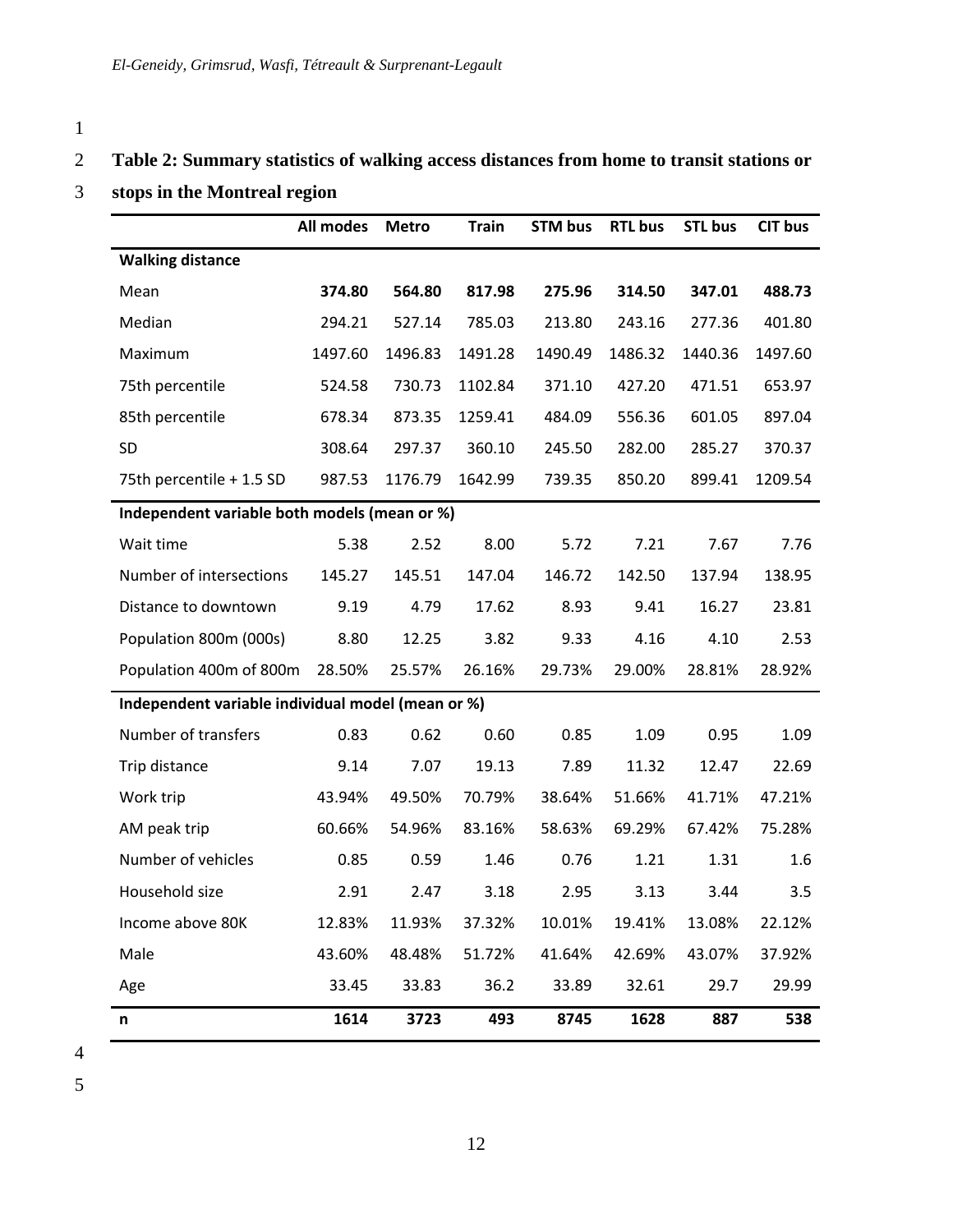# 2 **Table 2: Summary statistics of walking access distances from home to transit stations or**

## 3 **stops in the Montreal region**

|                                                   | <b>All modes</b> | <b>Metro</b> | <b>Train</b> | <b>STM bus</b> | <b>RTL bus</b> | <b>STL bus</b> | <b>CIT bus</b> |
|---------------------------------------------------|------------------|--------------|--------------|----------------|----------------|----------------|----------------|
| <b>Walking distance</b>                           |                  |              |              |                |                |                |                |
| Mean                                              | 374.80           | 564.80       | 817.98       | 275.96         | 314.50         | 347.01         | 488.73         |
| Median                                            | 294.21           | 527.14       | 785.03       | 213.80         | 243.16         | 277.36         | 401.80         |
| Maximum                                           | 1497.60          | 1496.83      | 1491.28      | 1490.49        | 1486.32        | 1440.36        | 1497.60        |
| 75th percentile                                   | 524.58           | 730.73       | 1102.84      | 371.10         | 427.20         | 471.51         | 653.97         |
| 85th percentile                                   | 678.34           | 873.35       | 1259.41      | 484.09         | 556.36         | 601.05         | 897.04         |
| <b>SD</b>                                         | 308.64           | 297.37       | 360.10       | 245.50         | 282.00         | 285.27         | 370.37         |
| 75th percentile + 1.5 SD                          | 987.53           | 1176.79      | 1642.99      | 739.35         | 850.20         | 899.41         | 1209.54        |
| Independent variable both models (mean or %)      |                  |              |              |                |                |                |                |
| Wait time                                         | 5.38             | 2.52         | 8.00         | 5.72           | 7.21           | 7.67           | 7.76           |
| Number of intersections                           | 145.27           | 145.51       | 147.04       | 146.72         | 142.50         | 137.94         | 138.95         |
| Distance to downtown                              | 9.19             | 4.79         | 17.62        | 8.93           | 9.41           | 16.27          | 23.81          |
| Population 800m (000s)                            | 8.80             | 12.25        | 3.82         | 9.33           | 4.16           | 4.10           | 2.53           |
| Population 400m of 800m                           | 28.50%           | 25.57%       | 26.16%       | 29.73%         | 29.00%         | 28.81%         | 28.92%         |
| Independent variable individual model (mean or %) |                  |              |              |                |                |                |                |
| Number of transfers                               | 0.83             | 0.62         | 0.60         | 0.85           | 1.09           | 0.95           | 1.09           |
| Trip distance                                     | 9.14             | 7.07         | 19.13        | 7.89           | 11.32          | 12.47          | 22.69          |
| Work trip                                         | 43.94%           | 49.50%       | 70.79%       | 38.64%         | 51.66%         | 41.71%         | 47.21%         |
| AM peak trip                                      | 60.66%           | 54.96%       | 83.16%       | 58.63%         | 69.29%         | 67.42%         | 75.28%         |
| Number of vehicles                                | 0.85             | 0.59         | 1.46         | 0.76           | 1.21           | 1.31           | 1.6            |
| Household size                                    | 2.91             | 2.47         | 3.18         | 2.95           | 3.13           | 3.44           | 3.5            |
| Income above 80K                                  | 12.83%           | 11.93%       | 37.32%       | 10.01%         | 19.41%         | 13.08%         | 22.12%         |
| Male                                              | 43.60%           | 48.48%       | 51.72%       | 41.64%         | 42.69%         | 43.07%         | 37.92%         |
| Age                                               | 33.45            | 33.83        | 36.2         | 33.89          | 32.61          | 29.7           | 29.99          |
| n                                                 | 1614             | 3723         | 493          | 8745           | 1628           | 887            | 538            |

4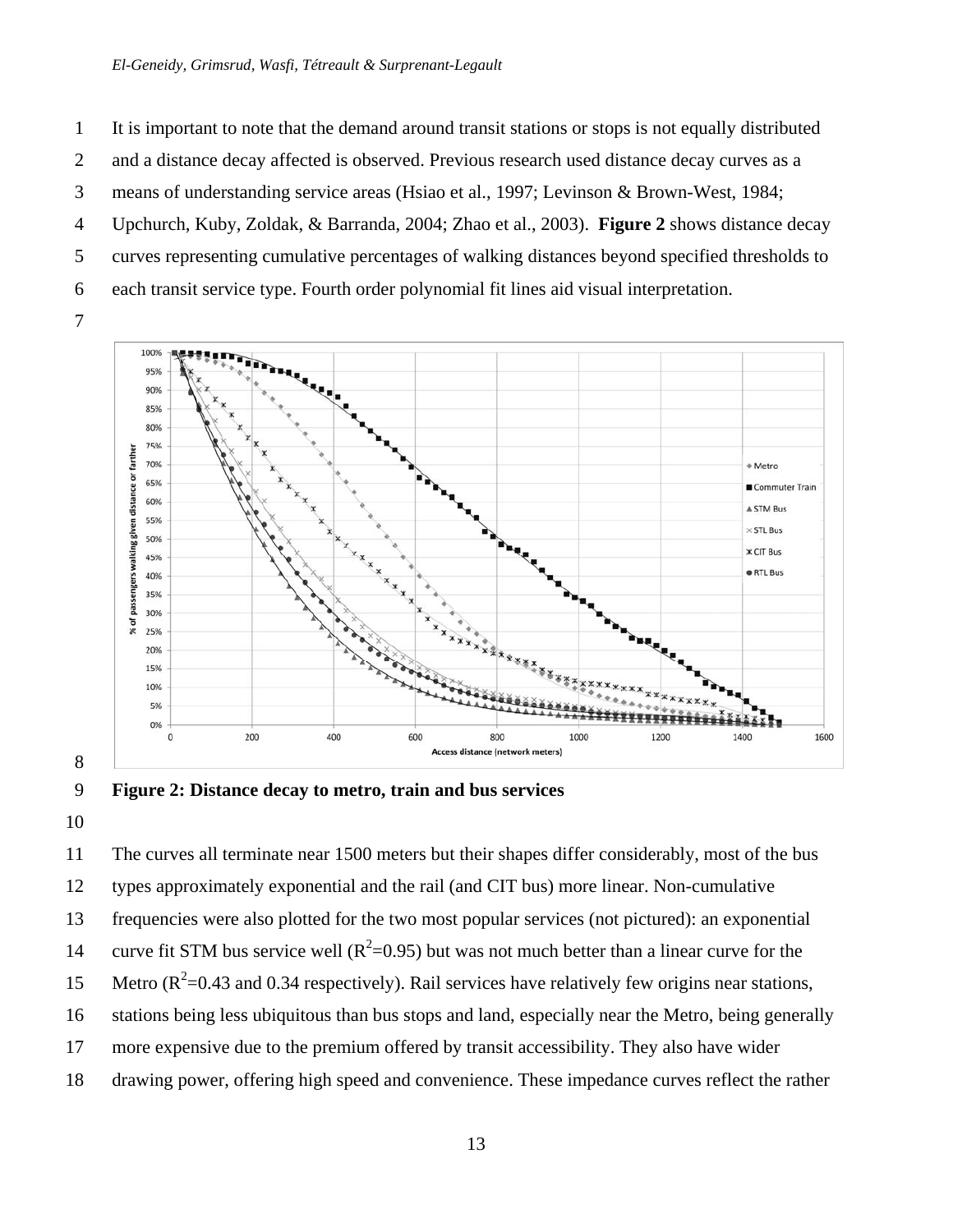1 It is important to note that the demand around transit stations or stops is not equally distributed

2 and a distance decay affected is observed. Previous research used distance decay curves as a

3 means of understanding service areas (Hsiao et al., 1997; Levinson & Brown-West, 1984;

4 Upchurch, Kuby, Zoldak, & Barranda, 2004; Zhao et al., 2003). **Figure 2** shows distance decay

5 curves representing cumulative percentages of walking distances beyond specified thresholds to

- 6 each transit service type. Fourth order polynomial fit lines aid visual interpretation.
- 7



### 8

9 **Figure 2: Distance decay to metro, train and bus services** 

10

11 The curves all terminate near 1500 meters but their shapes differ considerably, most of the bus 12 types approximately exponential and the rail (and CIT bus) more linear. Non-cumulative 13 frequencies were also plotted for the two most popular services (not pictured): an exponential 14 curve fit STM bus service well ( $R^2$ =0.95) but was not much better than a linear curve for the 15 Metro ( $R^2$ =0.43 and 0.34 respectively). Rail services have relatively few origins near stations, 16 stations being less ubiquitous than bus stops and land, especially near the Metro, being generally 17 more expensive due to the premium offered by transit accessibility. They also have wider 18 drawing power, offering high speed and convenience. These impedance curves reflect the rather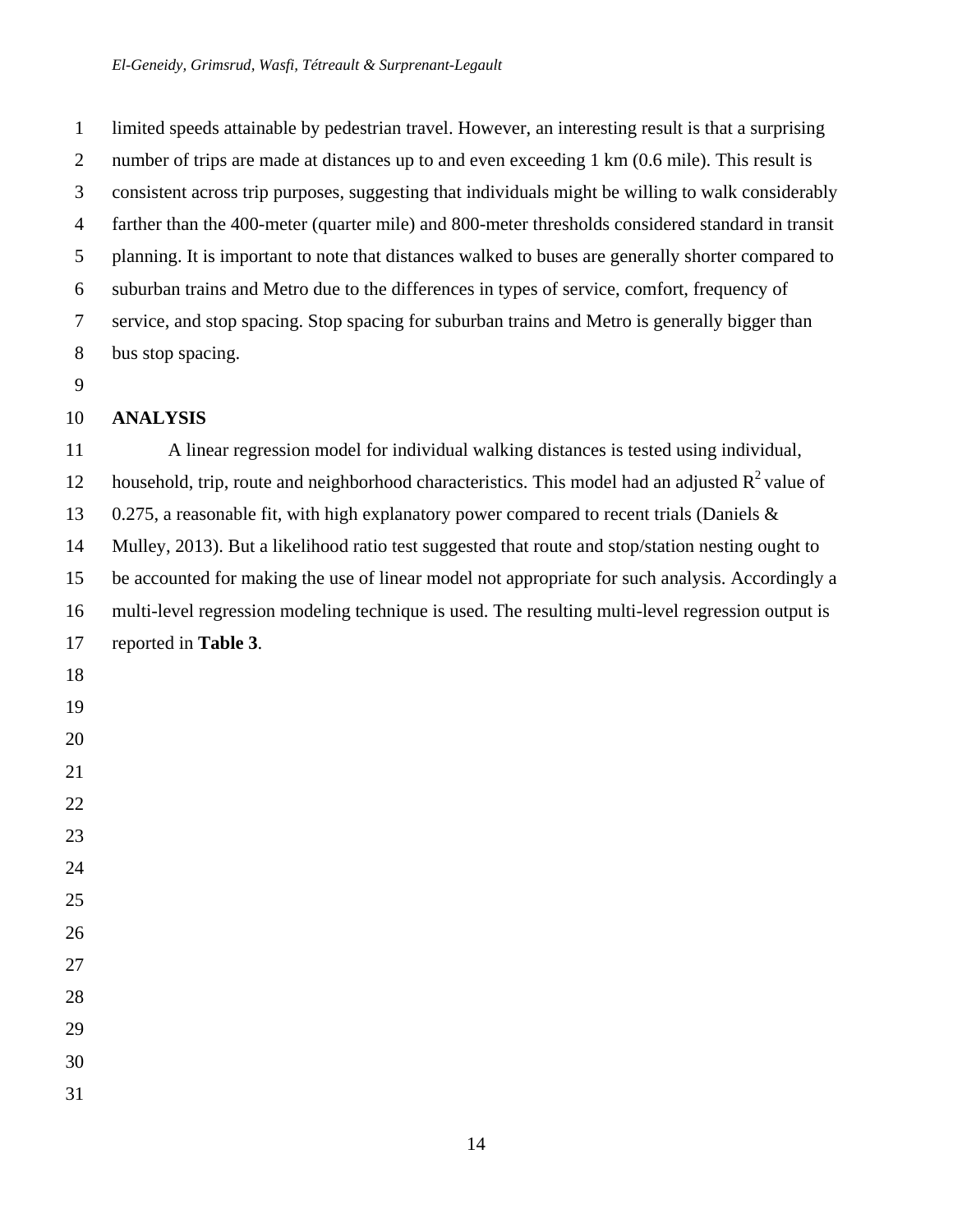1 limited speeds attainable by pedestrian travel. However, an interesting result is that a surprising 2 number of trips are made at distances up to and even exceeding 1 km (0.6 mile). This result is 3 consistent across trip purposes, suggesting that individuals might be willing to walk considerably 4 farther than the 400-meter (quarter mile) and 800-meter thresholds considered standard in transit 5 planning. It is important to note that distances walked to buses are generally shorter compared to 6 suburban trains and Metro due to the differences in types of service, comfort, frequency of 7 service, and stop spacing. Stop spacing for suburban trains and Metro is generally bigger than 8 bus stop spacing.

9

### 10 **ANALYSIS**

11 A linear regression model for individual walking distances is tested using individual, household, trip, route and neighborhood characteristics. This model had an adjusted  $R^2$  value of 13 0.275, a reasonable fit, with high explanatory power compared to recent trials (Daniels & 14 Mulley, 2013). But a likelihood ratio test suggested that route and stop/station nesting ought to 15 be accounted for making the use of linear model not appropriate for such analysis. Accordingly a 16 multi-level regression modeling technique is used. The resulting multi-level regression output is 17 reported in **Table 3**. 18 19 20 21 22 23 24 25 26 27 28 29 30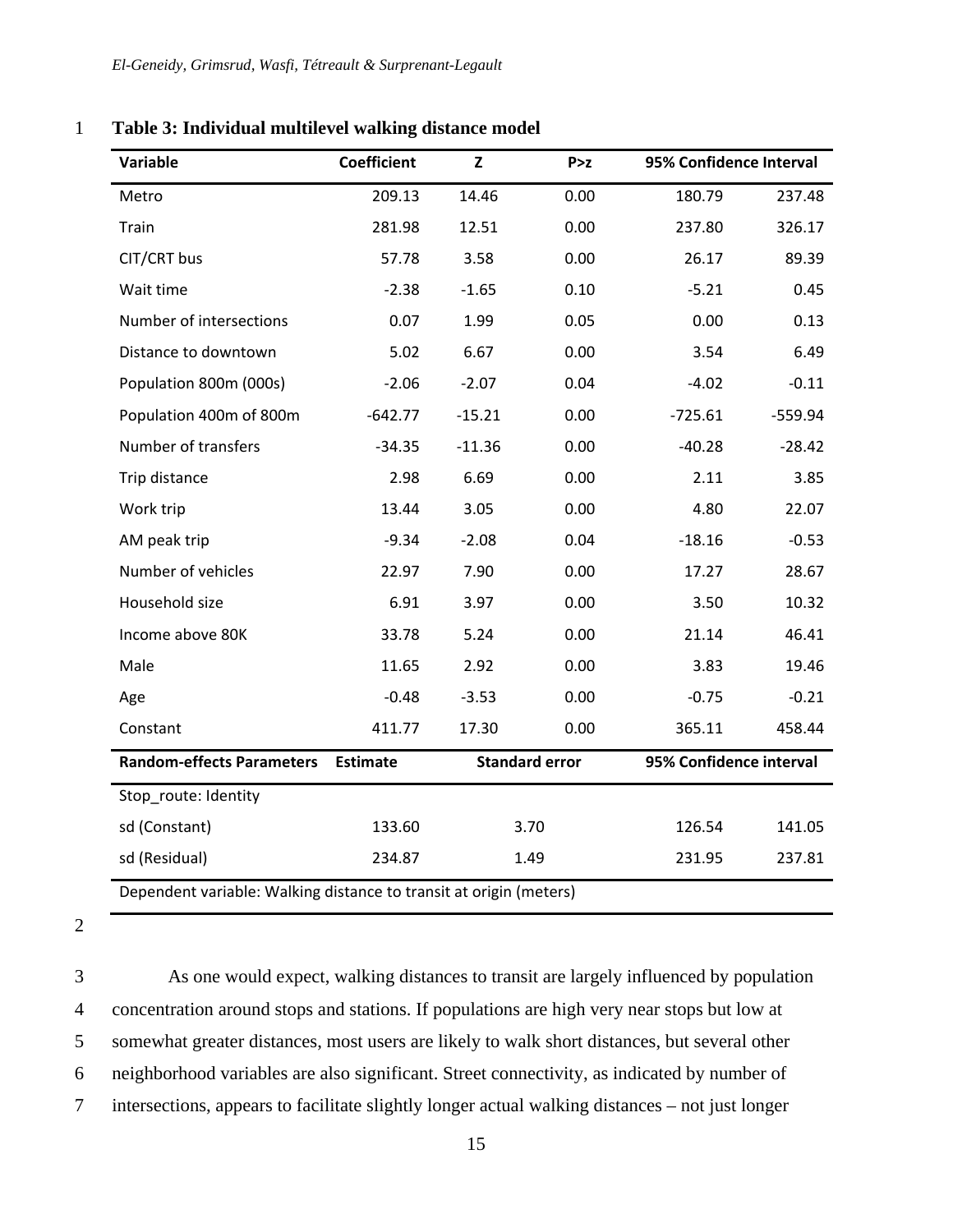| <b>Variable</b>                  | <b>Coefficient</b> | $\mathbf{Z}$<br>P > z |      | 95% Confidence Interval |           |  |
|----------------------------------|--------------------|-----------------------|------|-------------------------|-----------|--|
| Metro                            | 209.13             | 14.46                 | 0.00 | 180.79                  | 237.48    |  |
| Train                            | 281.98             | 12.51                 | 0.00 | 237.80                  | 326.17    |  |
| CIT/CRT bus                      | 57.78              | 3.58                  | 0.00 | 26.17                   | 89.39     |  |
| Wait time                        | $-2.38$            | $-1.65$               | 0.10 | $-5.21$                 | 0.45      |  |
| Number of intersections          | 0.07               | 1.99                  | 0.05 | 0.00                    | 0.13      |  |
| Distance to downtown             | 5.02               | 6.67                  | 0.00 | 3.54                    | 6.49      |  |
| Population 800m (000s)           | $-2.06$            | $-2.07$               | 0.04 | $-4.02$                 | $-0.11$   |  |
| Population 400m of 800m          | $-642.77$          | $-15.21$              | 0.00 | $-725.61$               | $-559.94$ |  |
| Number of transfers              | $-34.35$           | $-11.36$              | 0.00 | $-40.28$                | $-28.42$  |  |
| Trip distance                    | 2.98               | 6.69                  | 0.00 | 2.11                    | 3.85      |  |
| Work trip                        | 13.44              | 3.05                  | 0.00 | 4.80                    | 22.07     |  |
| AM peak trip                     | $-9.34$            | $-2.08$               | 0.04 | $-18.16$                | $-0.53$   |  |
| Number of vehicles               | 22.97              | 7.90                  | 0.00 | 17.27                   | 28.67     |  |
| Household size                   | 6.91               | 3.97                  | 0.00 | 3.50                    | 10.32     |  |
| Income above 80K                 | 33.78              | 5.24                  | 0.00 | 21.14                   | 46.41     |  |
| Male                             | 11.65              | 2.92                  | 0.00 | 3.83                    | 19.46     |  |
| Age                              | $-0.48$            | $-3.53$               | 0.00 | $-0.75$                 | $-0.21$   |  |
| Constant                         | 411.77             | 17.30                 | 0.00 | 365.11                  | 458.44    |  |
| <b>Random-effects Parameters</b> | <b>Estimate</b>    | <b>Standard error</b> |      | 95% Confidence interval |           |  |
| Stop_route: Identity             |                    |                       |      |                         |           |  |
| sd (Constant)                    | 133.60             |                       | 3.70 | 126.54                  | 141.05    |  |
| sd (Residual)                    | 234.87             |                       | 1.49 | 231.95                  | 237.81    |  |

#### 1 **Table 3: Individual multilevel walking distance model**

2

3 As one would expect, walking distances to transit are largely influenced by population 4 concentration around stops and stations. If populations are high very near stops but low at 5 somewhat greater distances, most users are likely to walk short distances, but several other 6 neighborhood variables are also significant. Street connectivity, as indicated by number of 7 intersections, appears to facilitate slightly longer actual walking distances – not just longer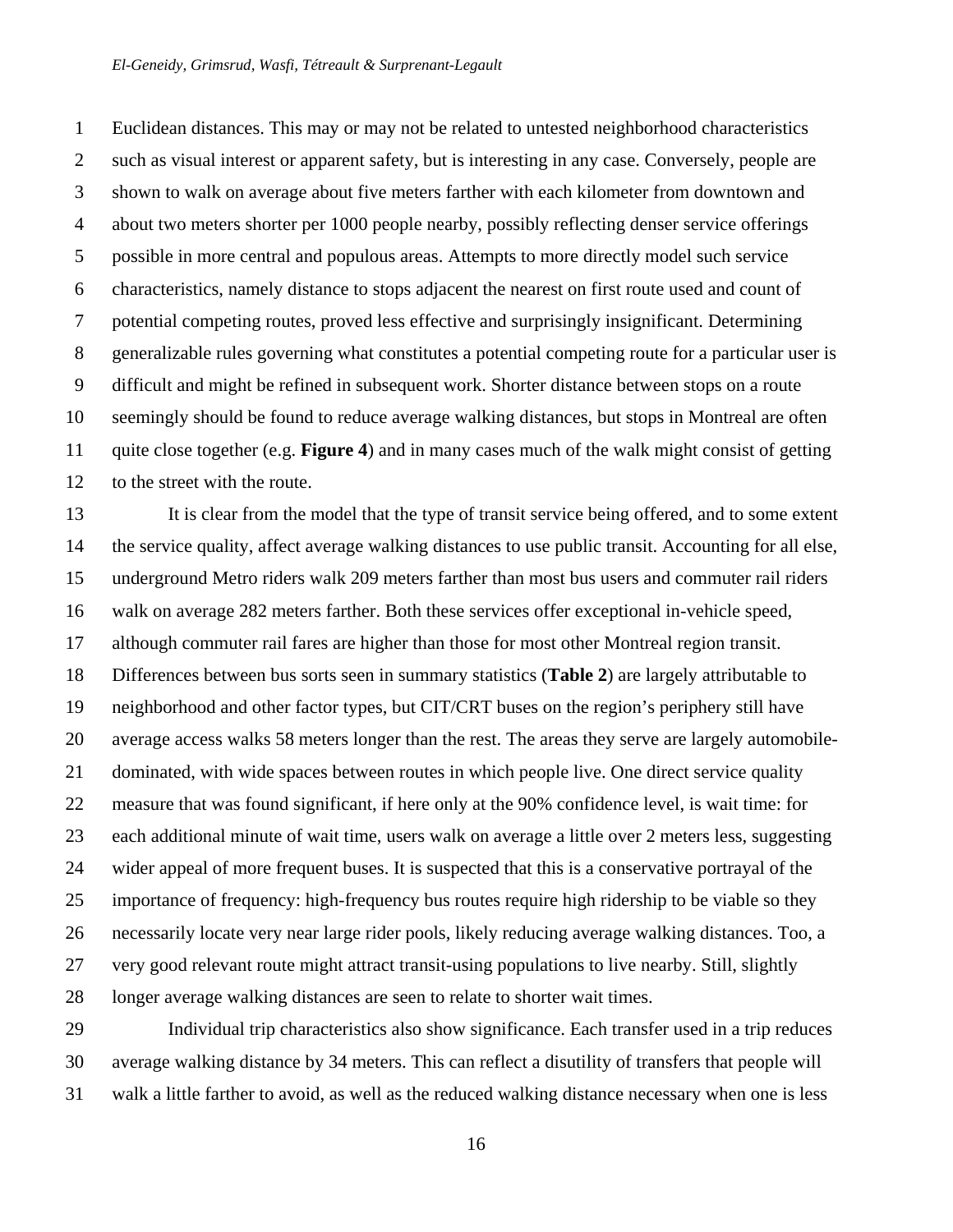1 Euclidean distances. This may or may not be related to untested neighborhood characteristics 2 such as visual interest or apparent safety, but is interesting in any case. Conversely, people are 3 shown to walk on average about five meters farther with each kilometer from downtown and 4 about two meters shorter per 1000 people nearby, possibly reflecting denser service offerings 5 possible in more central and populous areas. Attempts to more directly model such service 6 characteristics, namely distance to stops adjacent the nearest on first route used and count of 7 potential competing routes, proved less effective and surprisingly insignificant. Determining 8 generalizable rules governing what constitutes a potential competing route for a particular user is 9 difficult and might be refined in subsequent work. Shorter distance between stops on a route 10 seemingly should be found to reduce average walking distances, but stops in Montreal are often 11 quite close together (e.g. **Figure 4**) and in many cases much of the walk might consist of getting 12 to the street with the route.

13 It is clear from the model that the type of transit service being offered, and to some extent 14 the service quality, affect average walking distances to use public transit. Accounting for all else, 15 underground Metro riders walk 209 meters farther than most bus users and commuter rail riders 16 walk on average 282 meters farther. Both these services offer exceptional in-vehicle speed, 17 although commuter rail fares are higher than those for most other Montreal region transit. 18 Differences between bus sorts seen in summary statistics (**Table 2**) are largely attributable to 19 neighborhood and other factor types, but CIT/CRT buses on the region's periphery still have 20 average access walks 58 meters longer than the rest. The areas they serve are largely automobile-21 dominated, with wide spaces between routes in which people live. One direct service quality 22 measure that was found significant, if here only at the 90% confidence level, is wait time: for 23 each additional minute of wait time, users walk on average a little over 2 meters less, suggesting 24 wider appeal of more frequent buses. It is suspected that this is a conservative portrayal of the 25 importance of frequency: high-frequency bus routes require high ridership to be viable so they 26 necessarily locate very near large rider pools, likely reducing average walking distances. Too, a 27 very good relevant route might attract transit-using populations to live nearby. Still, slightly 28 longer average walking distances are seen to relate to shorter wait times.

29 Individual trip characteristics also show significance. Each transfer used in a trip reduces 30 average walking distance by 34 meters. This can reflect a disutility of transfers that people will 31 walk a little farther to avoid, as well as the reduced walking distance necessary when one is less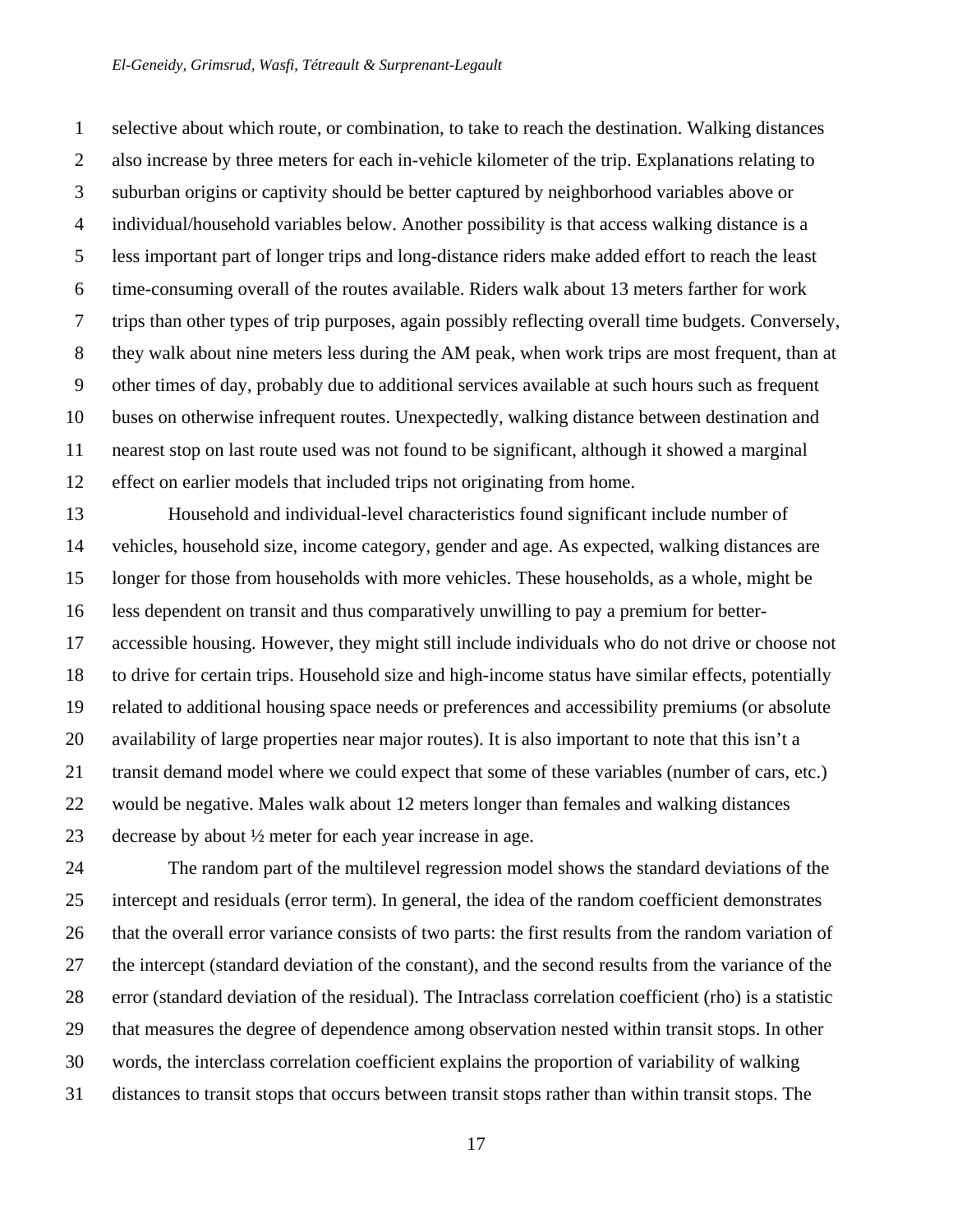1 selective about which route, or combination, to take to reach the destination. Walking distances 2 also increase by three meters for each in-vehicle kilometer of the trip. Explanations relating to 3 suburban origins or captivity should be better captured by neighborhood variables above or 4 individual/household variables below. Another possibility is that access walking distance is a 5 less important part of longer trips and long-distance riders make added effort to reach the least 6 time-consuming overall of the routes available. Riders walk about 13 meters farther for work 7 trips than other types of trip purposes, again possibly reflecting overall time budgets. Conversely, 8 they walk about nine meters less during the AM peak, when work trips are most frequent, than at 9 other times of day, probably due to additional services available at such hours such as frequent 10 buses on otherwise infrequent routes. Unexpectedly, walking distance between destination and 11 nearest stop on last route used was not found to be significant, although it showed a marginal 12 effect on earlier models that included trips not originating from home.

13 Household and individual-level characteristics found significant include number of 14 vehicles, household size, income category, gender and age. As expected, walking distances are 15 longer for those from households with more vehicles. These households, as a whole, might be 16 less dependent on transit and thus comparatively unwilling to pay a premium for better-17 accessible housing. However, they might still include individuals who do not drive or choose not 18 to drive for certain trips. Household size and high-income status have similar effects, potentially 19 related to additional housing space needs or preferences and accessibility premiums (or absolute 20 availability of large properties near major routes). It is also important to note that this isn't a 21 transit demand model where we could expect that some of these variables (number of cars, etc.) 22 would be negative. Males walk about 12 meters longer than females and walking distances 23 decrease by about ½ meter for each year increase in age.

24 The random part of the multilevel regression model shows the standard deviations of the 25 intercept and residuals (error term). In general, the idea of the random coefficient demonstrates 26 that the overall error variance consists of two parts: the first results from the random variation of 27 the intercept (standard deviation of the constant), and the second results from the variance of the 28 error (standard deviation of the residual). The Intraclass correlation coefficient (rho) is a statistic 29 that measures the degree of dependence among observation nested within transit stops. In other 30 words, the interclass correlation coefficient explains the proportion of variability of walking 31 distances to transit stops that occurs between transit stops rather than within transit stops. The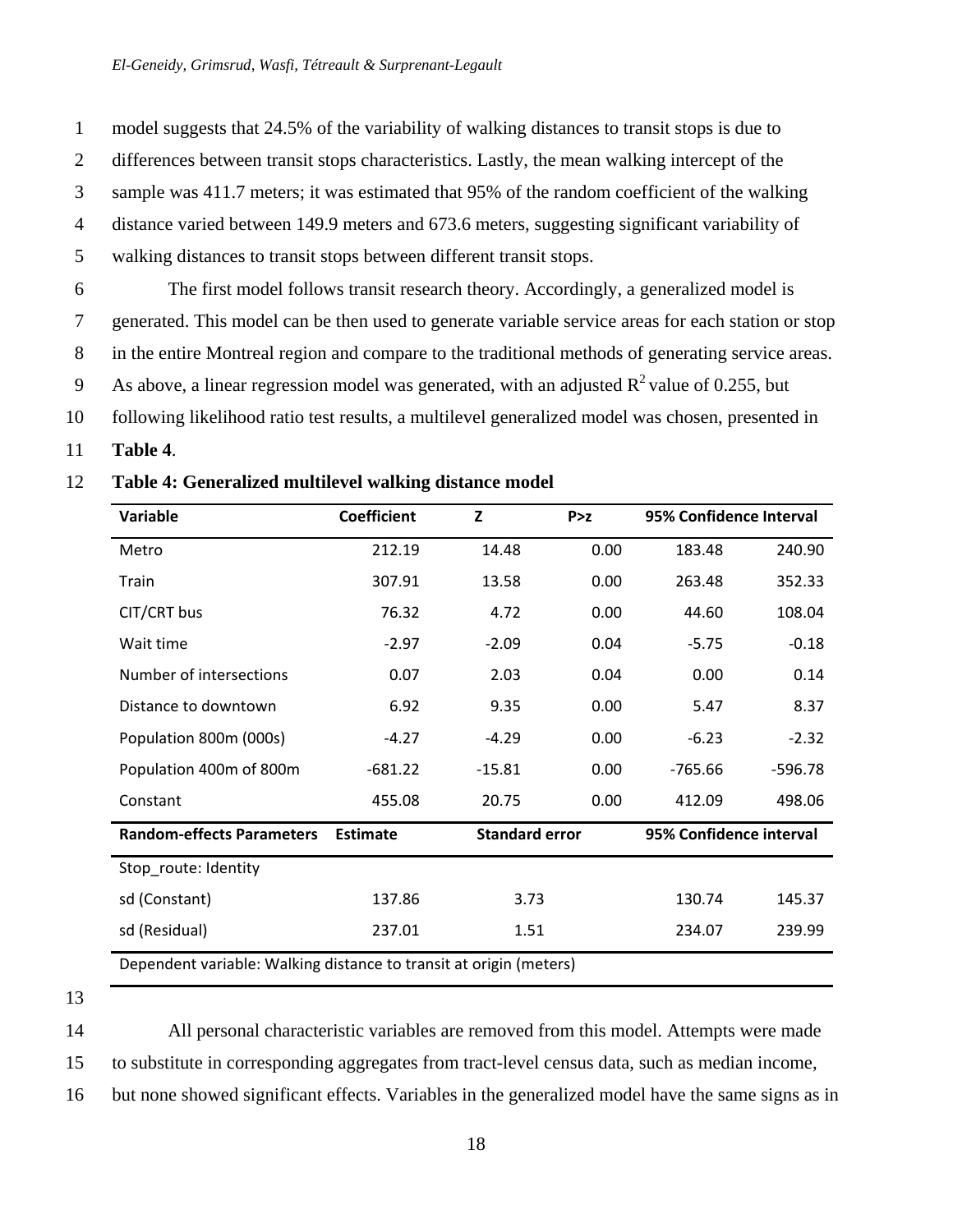1 model suggests that 24.5% of the variability of walking distances to transit stops is due to

- 2 differences between transit stops characteristics. Lastly, the mean walking intercept of the
- 3 sample was 411.7 meters; it was estimated that 95% of the random coefficient of the walking
- 4 distance varied between 149.9 meters and 673.6 meters, suggesting significant variability of
- 5 walking distances to transit stops between different transit stops.
- 6 The first model follows transit research theory. Accordingly, a generalized model is 7 generated. This model can be then used to generate variable service areas for each station or stop 8 in the entire Montreal region and compare to the traditional methods of generating service areas. 9 As above, a linear regression model was generated, with an adjusted  $R^2$  value of 0.255, but 10 following likelihood ratio test results, a multilevel generalized model was chosen, presented in
- 11 **Table 4**.

| Variable                         | <b>Coefficient</b> | z                     | P > z | 95% Confidence Interval |           |  |
|----------------------------------|--------------------|-----------------------|-------|-------------------------|-----------|--|
| Metro                            | 212.19             | 14.48                 | 0.00  | 183.48                  | 240.90    |  |
| Train                            | 307.91             | 13.58                 | 0.00  | 263.48                  | 352.33    |  |
| CIT/CRT bus                      | 76.32              | 4.72                  | 0.00  | 44.60                   | 108.04    |  |
| Wait time                        | $-2.97$            | $-2.09$               | 0.04  | $-5.75$                 | $-0.18$   |  |
| Number of intersections          | 0.07               | 2.03                  | 0.04  | 0.00                    | 0.14      |  |
| Distance to downtown             | 6.92               | 9.35                  | 0.00  | 5.47                    | 8.37      |  |
| Population 800m (000s)           | $-4.27$            | $-4.29$               | 0.00  | $-6.23$                 | $-2.32$   |  |
| Population 400m of 800m          | $-681.22$          | $-15.81$              | 0.00  | $-765.66$               | $-596.78$ |  |
| Constant                         | 455.08             | 20.75                 | 0.00  | 412.09                  | 498.06    |  |
| <b>Random-effects Parameters</b> | <b>Estimate</b>    | <b>Standard error</b> |       | 95% Confidence interval |           |  |
| Stop_route: Identity             |                    |                       |       |                         |           |  |
| sd (Constant)                    | 137.86             | 3.73                  |       | 130.74                  | 145.37    |  |
| sd (Residual)                    | 237.01             | 1.51                  |       | 234.07                  | 239.99    |  |

12 **Table 4: Generalized multilevel walking distance model** 

13

14 All personal characteristic variables are removed from this model. Attempts were made

15 to substitute in corresponding aggregates from tract-level census data, such as median income,

16 but none showed significant effects. Variables in the generalized model have the same signs as in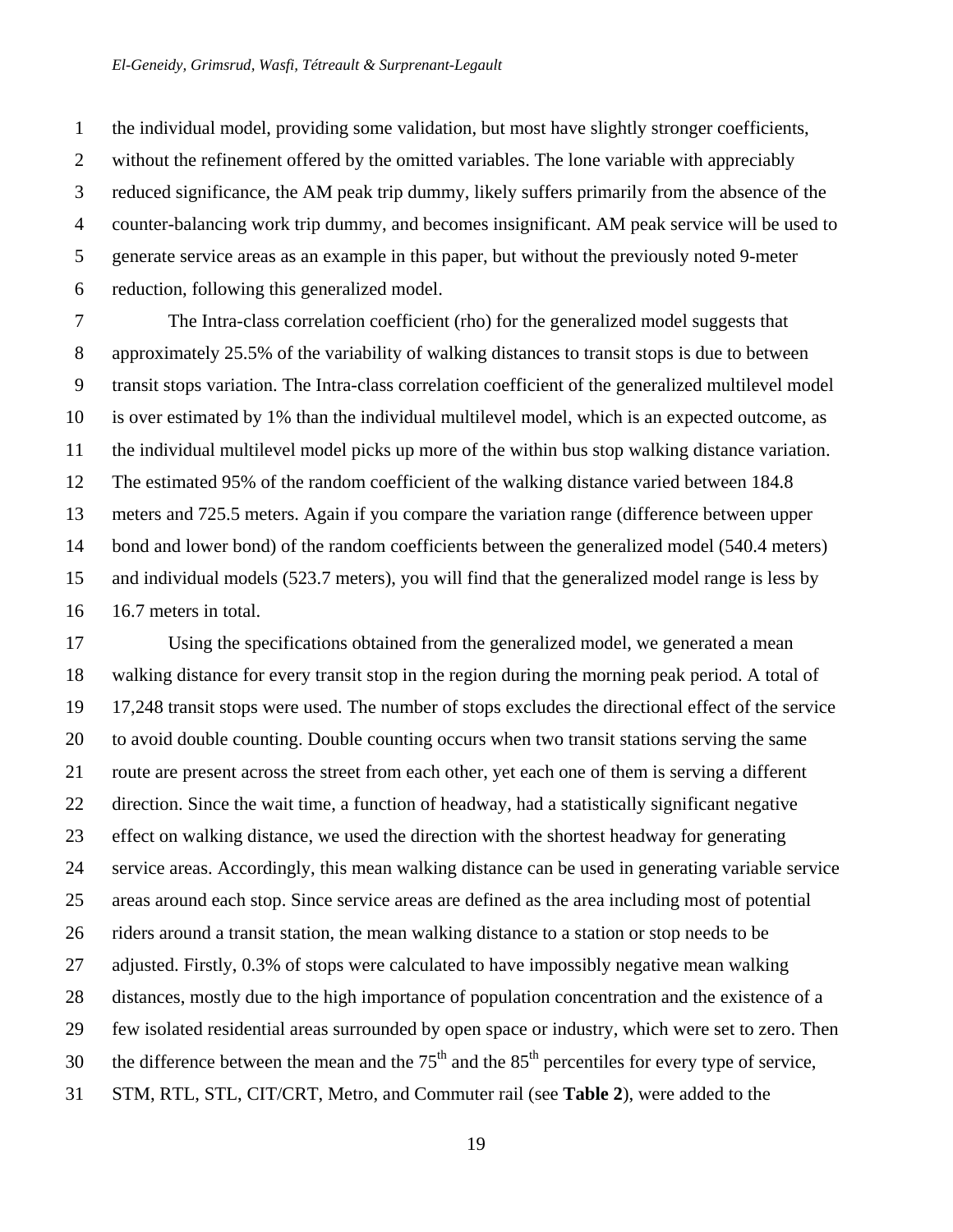1 the individual model, providing some validation, but most have slightly stronger coefficients, 2 without the refinement offered by the omitted variables. The lone variable with appreciably 3 reduced significance, the AM peak trip dummy, likely suffers primarily from the absence of the 4 counter-balancing work trip dummy, and becomes insignificant. AM peak service will be used to 5 generate service areas as an example in this paper, but without the previously noted 9-meter 6 reduction, following this generalized model.

7 The Intra-class correlation coefficient (rho) for the generalized model suggests that 8 approximately 25.5% of the variability of walking distances to transit stops is due to between 9 transit stops variation. The Intra-class correlation coefficient of the generalized multilevel model 10 is over estimated by 1% than the individual multilevel model, which is an expected outcome, as 11 the individual multilevel model picks up more of the within bus stop walking distance variation. 12 The estimated 95% of the random coefficient of the walking distance varied between 184.8 13 meters and 725.5 meters. Again if you compare the variation range (difference between upper 14 bond and lower bond) of the random coefficients between the generalized model (540.4 meters) 15 and individual models (523.7 meters), you will find that the generalized model range is less by 16 16.7 meters in total.

17 Using the specifications obtained from the generalized model, we generated a mean 18 walking distance for every transit stop in the region during the morning peak period. A total of 19 17,248 transit stops were used. The number of stops excludes the directional effect of the service 20 to avoid double counting. Double counting occurs when two transit stations serving the same 21 route are present across the street from each other, yet each one of them is serving a different 22 direction. Since the wait time, a function of headway, had a statistically significant negative 23 effect on walking distance, we used the direction with the shortest headway for generating 24 service areas. Accordingly, this mean walking distance can be used in generating variable service 25 areas around each stop. Since service areas are defined as the area including most of potential 26 riders around a transit station, the mean walking distance to a station or stop needs to be 27 adjusted. Firstly, 0.3% of stops were calculated to have impossibly negative mean walking 28 distances, mostly due to the high importance of population concentration and the existence of a 29 few isolated residential areas surrounded by open space or industry, which were set to zero. Then 30 the difference between the mean and the  $75<sup>th</sup>$  and the  $85<sup>th</sup>$  percentiles for every type of service, 31 STM, RTL, STL, CIT/CRT, Metro, and Commuter rail (see **Table 2**), were added to the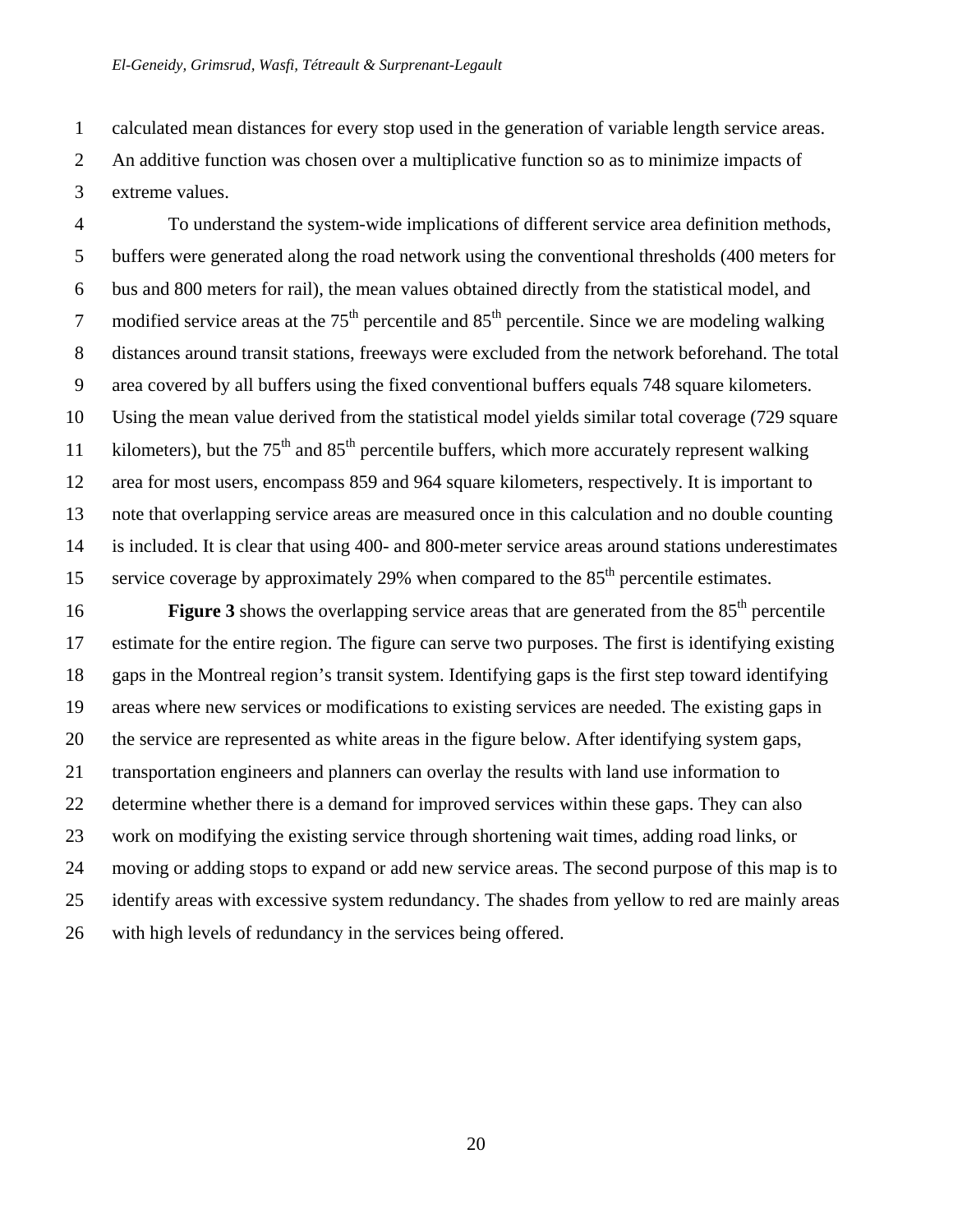1 calculated mean distances for every stop used in the generation of variable length service areas. 2 An additive function was chosen over a multiplicative function so as to minimize impacts of 3 extreme values.

4 To understand the system-wide implications of different service area definition methods, 5 buffers were generated along the road network using the conventional thresholds (400 meters for 6 bus and 800 meters for rail), the mean values obtained directly from the statistical model, and 7 modified service areas at the  $75<sup>th</sup>$  percentile and  $85<sup>th</sup>$  percentile. Since we are modeling walking 8 distances around transit stations, freeways were excluded from the network beforehand. The total 9 area covered by all buffers using the fixed conventional buffers equals 748 square kilometers. 10 Using the mean value derived from the statistical model yields similar total coverage (729 square 11 kilometers), but the  $75<sup>th</sup>$  and  $85<sup>th</sup>$  percentile buffers, which more accurately represent walking 12 area for most users, encompass 859 and 964 square kilometers, respectively. It is important to 13 note that overlapping service areas are measured once in this calculation and no double counting 14 is included. It is clear that using 400- and 800-meter service areas around stations underestimates 15 service coverage by approximately 29% when compared to the  $85<sup>th</sup>$  percentile estimates.

**Figure 3** shows the overlapping service areas that are generated from the 85<sup>th</sup> percentile 17 estimate for the entire region. The figure can serve two purposes. The first is identifying existing 18 gaps in the Montreal region's transit system. Identifying gaps is the first step toward identifying 19 areas where new services or modifications to existing services are needed. The existing gaps in 20 the service are represented as white areas in the figure below. After identifying system gaps, 21 transportation engineers and planners can overlay the results with land use information to 22 determine whether there is a demand for improved services within these gaps. They can also 23 work on modifying the existing service through shortening wait times, adding road links, or 24 moving or adding stops to expand or add new service areas. The second purpose of this map is to 25 identify areas with excessive system redundancy. The shades from yellow to red are mainly areas 26 with high levels of redundancy in the services being offered.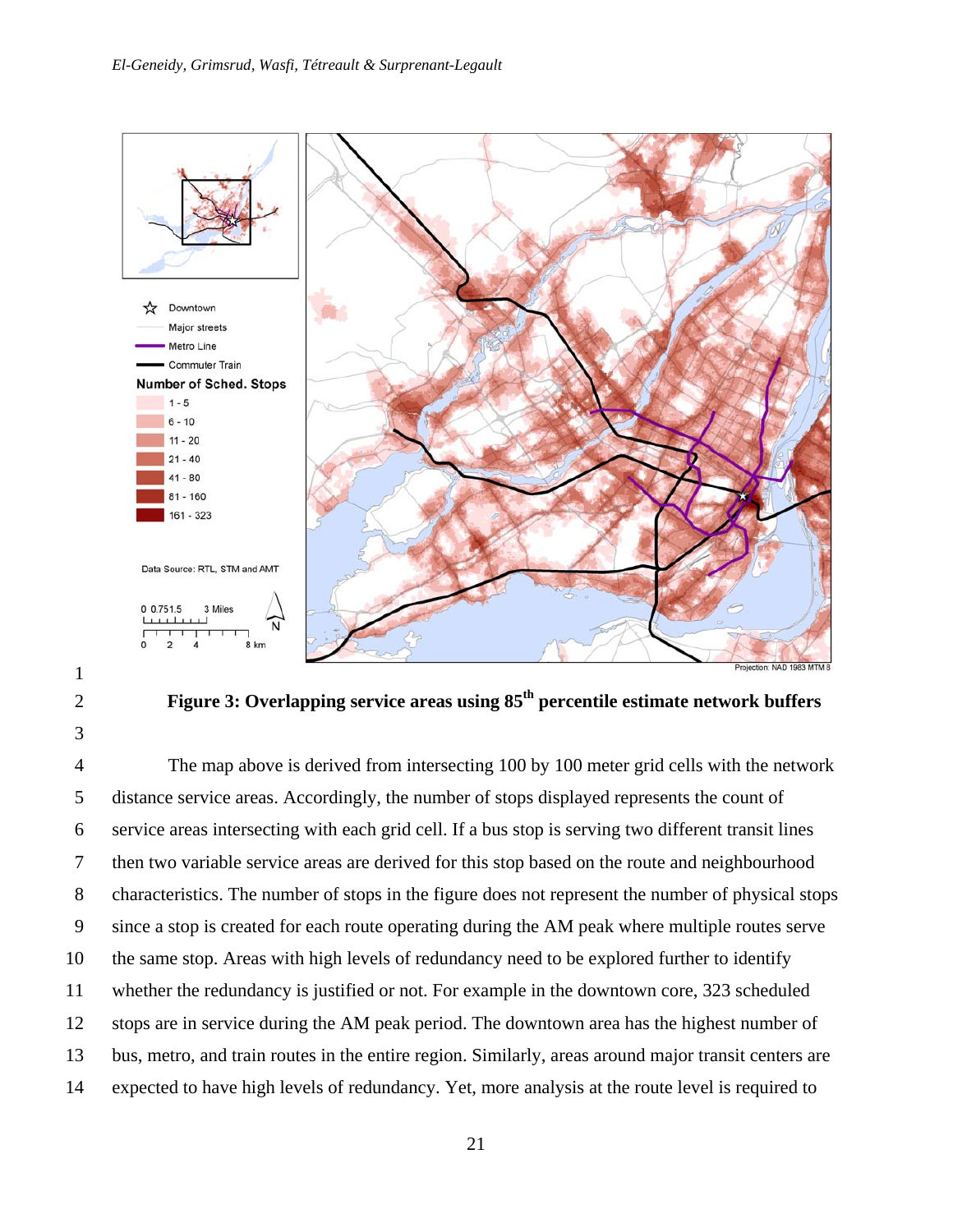

**Figure 3: Overlapping service areas using 85<sup>th</sup> percentile estimate network buffers** 

3

4 The map above is derived from intersecting 100 by 100 meter grid cells with the network 5 distance service areas. Accordingly, the number of stops displayed represents the count of 6 service areas intersecting with each grid cell. If a bus stop is serving two different transit lines 7 then two variable service areas are derived for this stop based on the route and neighbourhood 8 characteristics. The number of stops in the figure does not represent the number of physical stops 9 since a stop is created for each route operating during the AM peak where multiple routes serve 10 the same stop. Areas with high levels of redundancy need to be explored further to identify 11 whether the redundancy is justified or not. For example in the downtown core, 323 scheduled 12 stops are in service during the AM peak period. The downtown area has the highest number of 13 bus, metro, and train routes in the entire region. Similarly, areas around major transit centers are 14 expected to have high levels of redundancy. Yet, more analysis at the route level is required to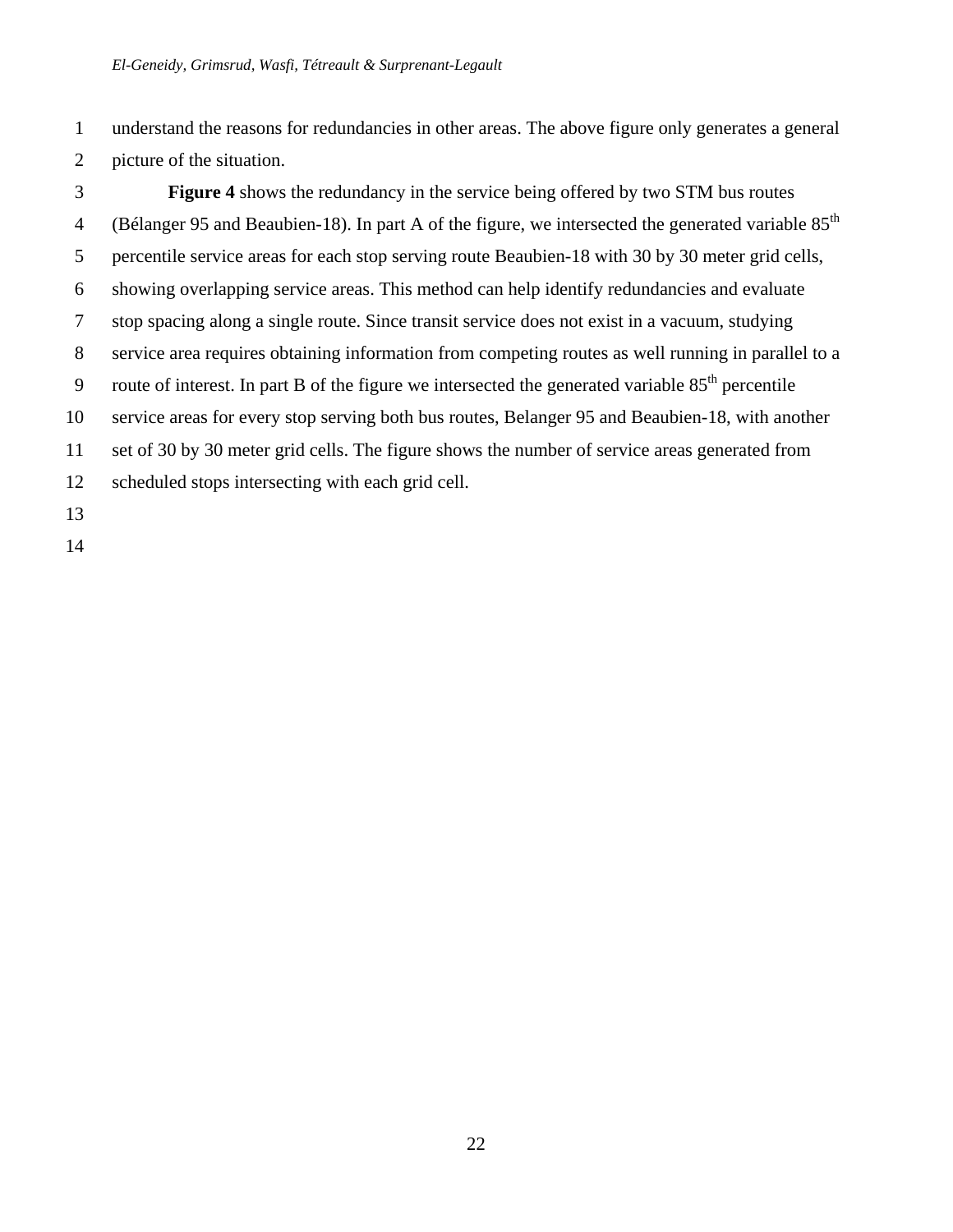1 understand the reasons for redundancies in other areas. The above figure only generates a general 2 picture of the situation.

3 **Figure 4** shows the redundancy in the service being offered by two STM bus routes 4 (Bélanger 95 and Beaubien-18). In part A of the figure, we intersected the generated variable 85<sup>th</sup> 5 percentile service areas for each stop serving route Beaubien-18 with 30 by 30 meter grid cells, 6 showing overlapping service areas. This method can help identify redundancies and evaluate 7 stop spacing along a single route. Since transit service does not exist in a vacuum, studying 8 service area requires obtaining information from competing routes as well running in parallel to a 9 route of interest. In part B of the figure we intersected the generated variable  $85<sup>th</sup>$  percentile 10 service areas for every stop serving both bus routes, Belanger 95 and Beaubien-18, with another 11 set of 30 by 30 meter grid cells. The figure shows the number of service areas generated from 12 scheduled stops intersecting with each grid cell. 13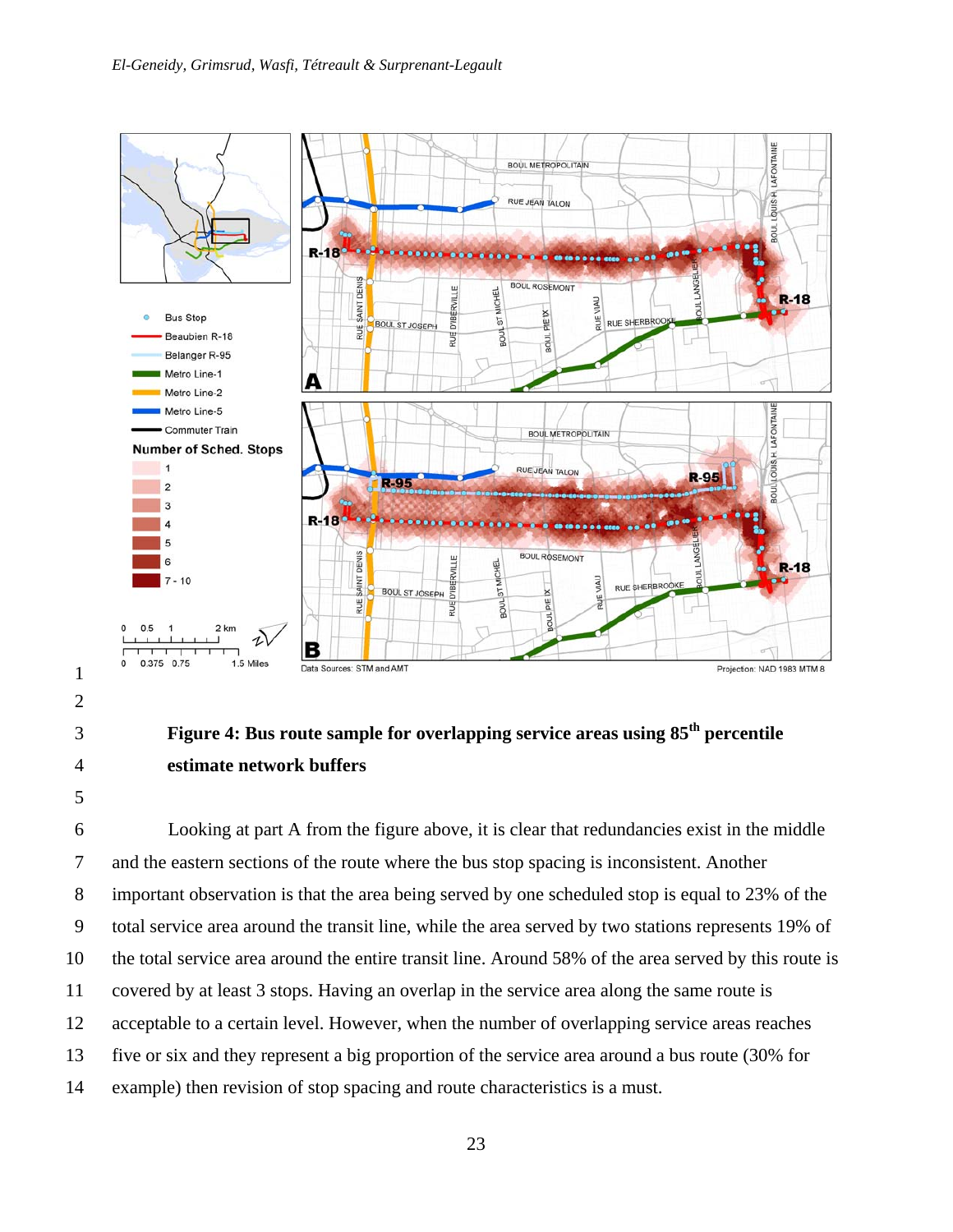

**Figure 4: Bus route sample for overlapping service areas using 85<sup>th</sup> percentile** 4 **estimate network buffers** 

6 Looking at part A from the figure above, it is clear that redundancies exist in the middle 7 and the eastern sections of the route where the bus stop spacing is inconsistent. Another 8 important observation is that the area being served by one scheduled stop is equal to 23% of the 9 total service area around the transit line, while the area served by two stations represents 19% of 10 the total service area around the entire transit line. Around 58% of the area served by this route is 11 covered by at least 3 stops. Having an overlap in the service area along the same route is 12 acceptable to a certain level. However, when the number of overlapping service areas reaches 13 five or six and they represent a big proportion of the service area around a bus route (30% for 14 example) then revision of stop spacing and route characteristics is a must.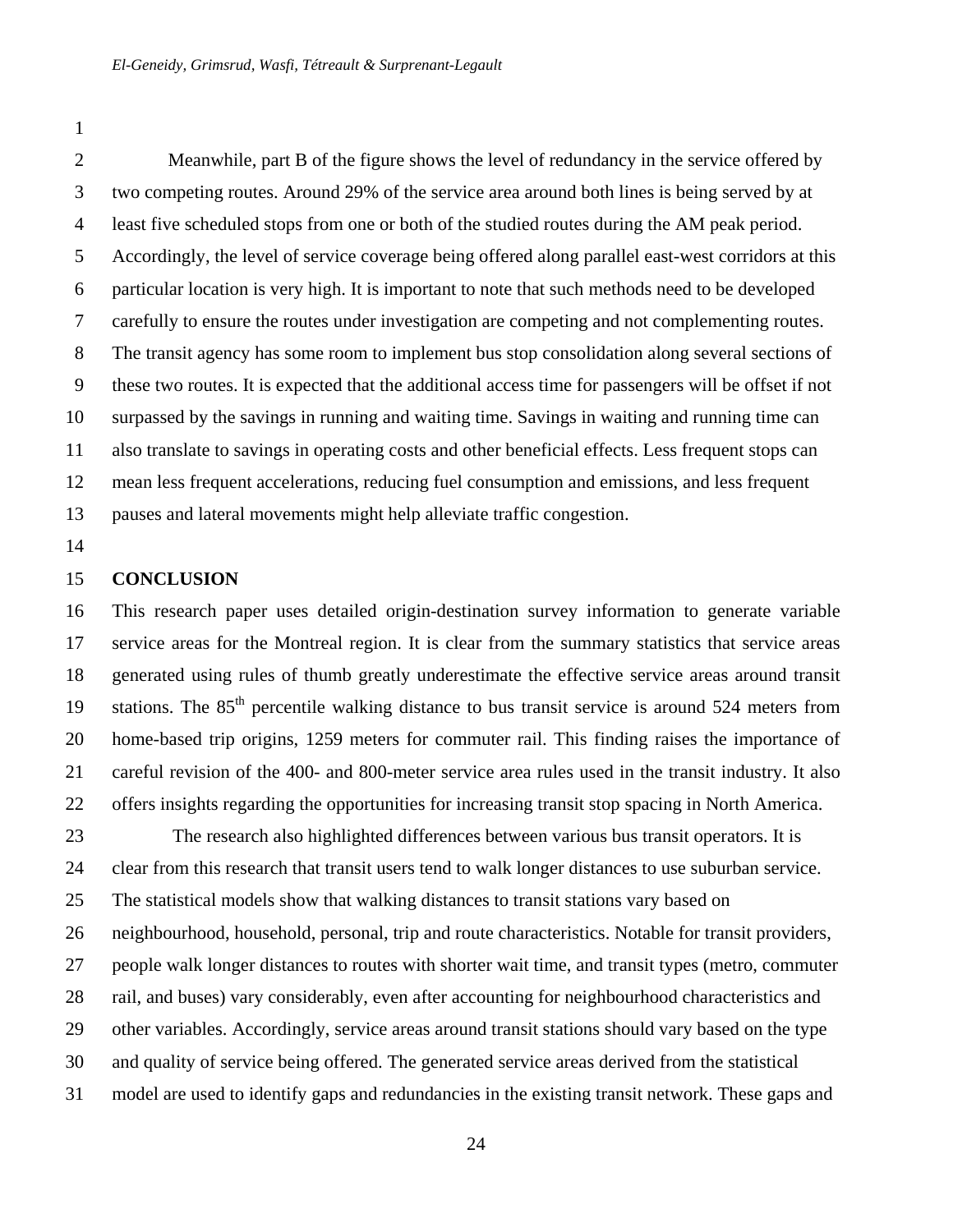2 Meanwhile, part B of the figure shows the level of redundancy in the service offered by 3 two competing routes. Around 29% of the service area around both lines is being served by at 4 least five scheduled stops from one or both of the studied routes during the AM peak period. 5 Accordingly, the level of service coverage being offered along parallel east-west corridors at this 6 particular location is very high. It is important to note that such methods need to be developed 7 carefully to ensure the routes under investigation are competing and not complementing routes. 8 The transit agency has some room to implement bus stop consolidation along several sections of 9 these two routes. It is expected that the additional access time for passengers will be offset if not 10 surpassed by the savings in running and waiting time. Savings in waiting and running time can 11 also translate to savings in operating costs and other beneficial effects. Less frequent stops can 12 mean less frequent accelerations, reducing fuel consumption and emissions, and less frequent 13 pauses and lateral movements might help alleviate traffic congestion.

14

#### 15 **CONCLUSION**

16 This research paper uses detailed origin-destination survey information to generate variable 17 service areas for the Montreal region. It is clear from the summary statistics that service areas 18 generated using rules of thumb greatly underestimate the effective service areas around transit 19 stations. The 85<sup>th</sup> percentile walking distance to bus transit service is around 524 meters from 20 home-based trip origins, 1259 meters for commuter rail. This finding raises the importance of 21 careful revision of the 400- and 800-meter service area rules used in the transit industry. It also 22 offers insights regarding the opportunities for increasing transit stop spacing in North America.

23 The research also highlighted differences between various bus transit operators. It is 24 clear from this research that transit users tend to walk longer distances to use suburban service. 25 The statistical models show that walking distances to transit stations vary based on 26 neighbourhood, household, personal, trip and route characteristics. Notable for transit providers, 27 people walk longer distances to routes with shorter wait time, and transit types (metro, commuter 28 rail, and buses) vary considerably, even after accounting for neighbourhood characteristics and 29 other variables. Accordingly, service areas around transit stations should vary based on the type 30 and quality of service being offered. The generated service areas derived from the statistical 31 model are used to identify gaps and redundancies in the existing transit network. These gaps and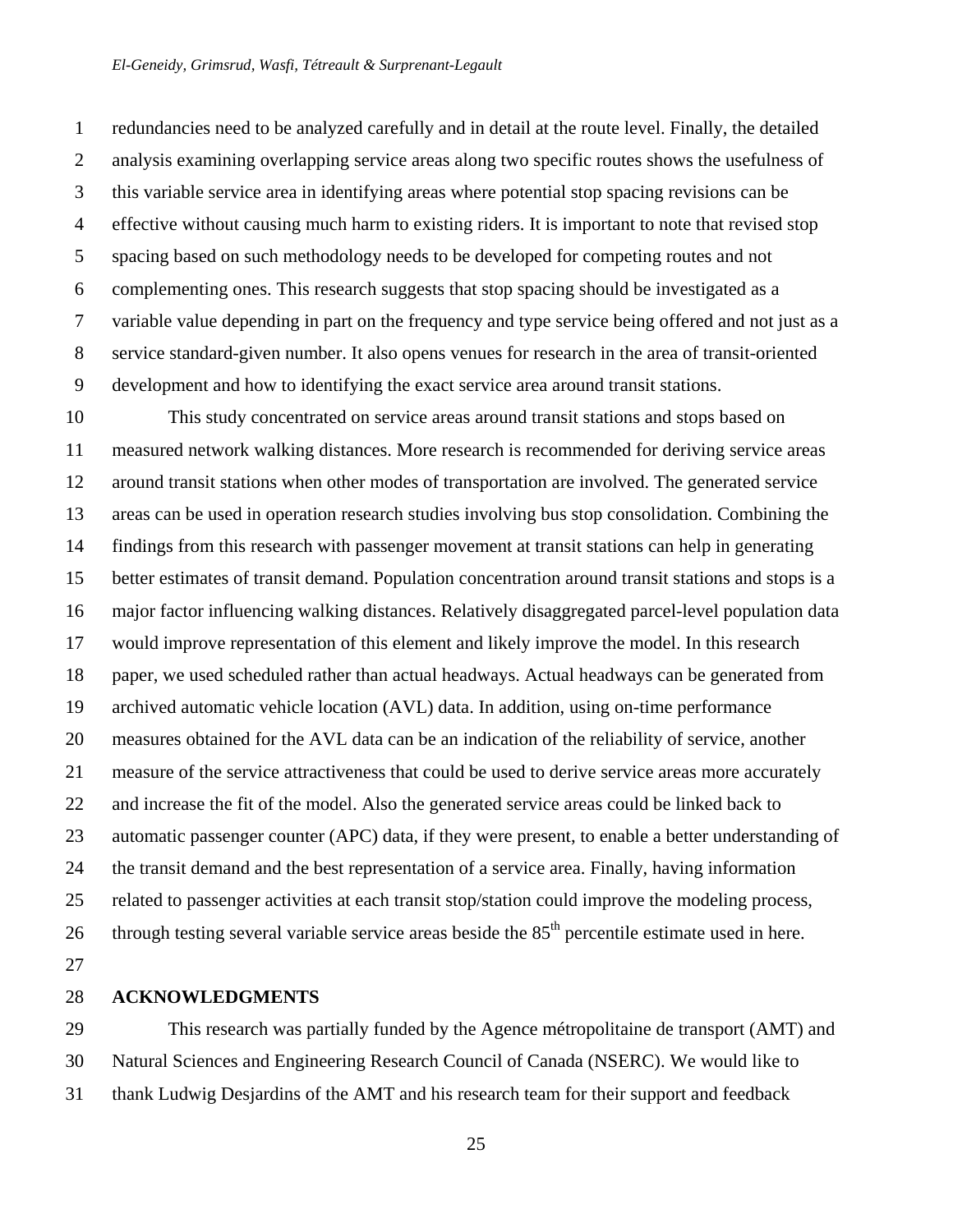1 redundancies need to be analyzed carefully and in detail at the route level. Finally, the detailed 2 analysis examining overlapping service areas along two specific routes shows the usefulness of 3 this variable service area in identifying areas where potential stop spacing revisions can be 4 effective without causing much harm to existing riders. It is important to note that revised stop 5 spacing based on such methodology needs to be developed for competing routes and not 6 complementing ones. This research suggests that stop spacing should be investigated as a 7 variable value depending in part on the frequency and type service being offered and not just as a 8 service standard-given number. It also opens venues for research in the area of transit-oriented 9 development and how to identifying the exact service area around transit stations.

10 This study concentrated on service areas around transit stations and stops based on 11 measured network walking distances. More research is recommended for deriving service areas 12 around transit stations when other modes of transportation are involved. The generated service 13 areas can be used in operation research studies involving bus stop consolidation. Combining the 14 findings from this research with passenger movement at transit stations can help in generating 15 better estimates of transit demand. Population concentration around transit stations and stops is a 16 major factor influencing walking distances. Relatively disaggregated parcel-level population data 17 would improve representation of this element and likely improve the model. In this research 18 paper, we used scheduled rather than actual headways. Actual headways can be generated from 19 archived automatic vehicle location (AVL) data. In addition, using on-time performance 20 measures obtained for the AVL data can be an indication of the reliability of service, another 21 measure of the service attractiveness that could be used to derive service areas more accurately 22 and increase the fit of the model. Also the generated service areas could be linked back to 23 automatic passenger counter (APC) data, if they were present, to enable a better understanding of 24 the transit demand and the best representation of a service area. Finally, having information 25 related to passenger activities at each transit stop/station could improve the modeling process, 26 through testing several variable service areas beside the  $85<sup>th</sup>$  percentile estimate used in here. 27

#### 28 **ACKNOWLEDGMENTS**

29 This research was partially funded by the Agence métropolitaine de transport (AMT) and 30 Natural Sciences and Engineering Research Council of Canada (NSERC). We would like to 31 thank Ludwig Desjardins of the AMT and his research team for their support and feedback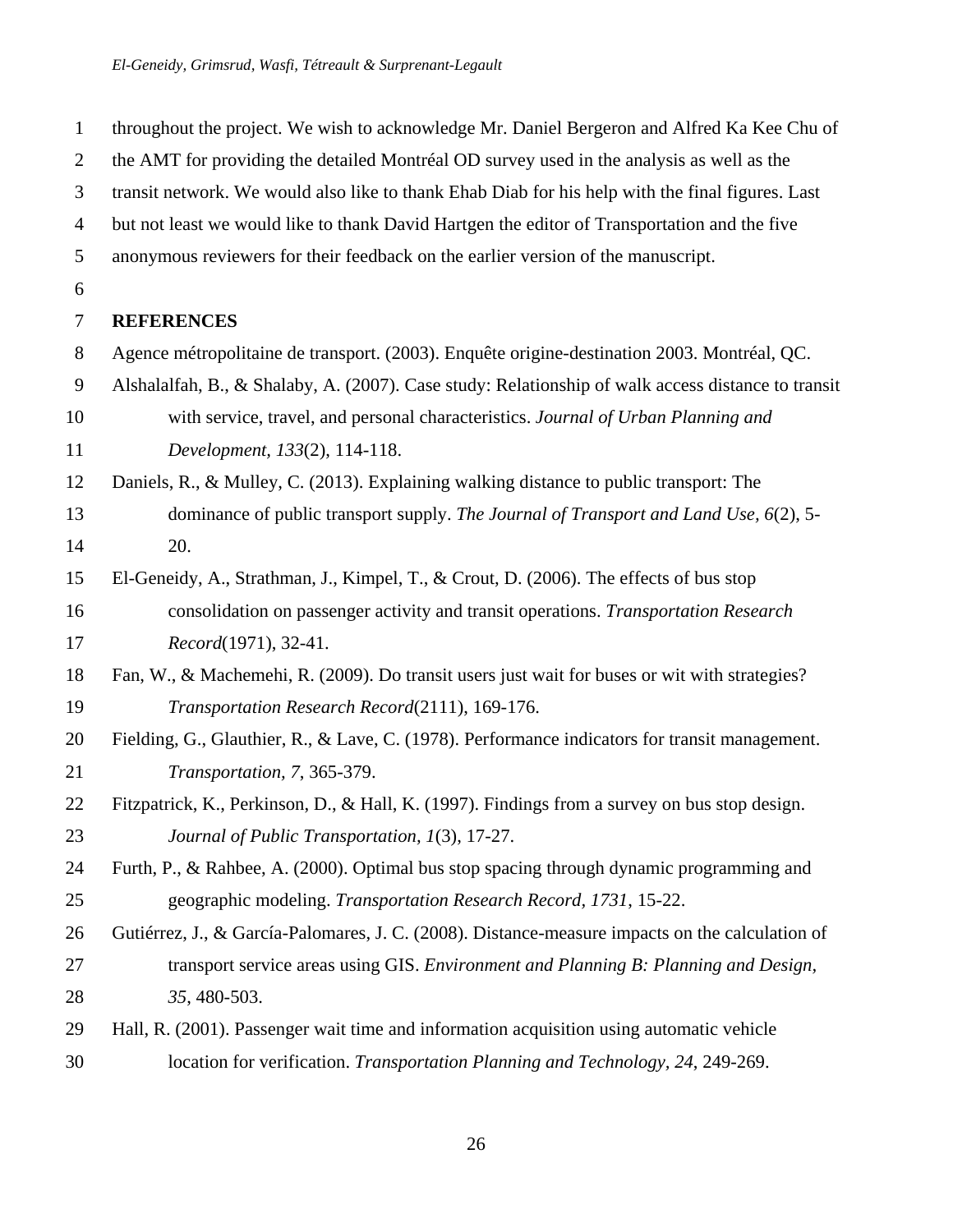1 throughout the project. We wish to acknowledge Mr. Daniel Bergeron and Alfred Ka Kee Chu of

- 2 the AMT for providing the detailed Montréal OD survey used in the analysis as well as the
- 3 transit network. We would also like to thank Ehab Diab for his help with the final figures. Last
- 4 but not least we would like to thank David Hartgen the editor of Transportation and the five
- 5 anonymous reviewers for their feedback on the earlier version of the manuscript.
- 6

#### 7 **REFERENCES**

- 8 Agence métropolitaine de transport. (2003). Enquête origine-destination 2003. Montréal, QC.
- 9 Alshalalfah, B., & Shalaby, A. (2007). Case study: Relationship of walk access distance to transit 10 with service, travel, and personal characteristics. *Journal of Urban Planning and*

11 *Development, 133*(2), 114-118.

- 12 Daniels, R., & Mulley, C. (2013). Explaining walking distance to public transport: The 13 dominance of public transport supply. *The Journal of Transport and Land Use, 6*(2), 5- 14 20.
- 15 El-Geneidy, A., Strathman, J., Kimpel, T., & Crout, D. (2006). The effects of bus stop 16 consolidation on passenger activity and transit operations. *Transportation Research*  17 *Record*(1971), 32-41.
- 18 Fan, W., & Machemehi, R. (2009). Do transit users just wait for buses or wit with strategies? 19 *Transportation Research Record*(2111), 169-176.
- 20 Fielding, G., Glauthier, R., & Lave, C. (1978). Performance indicators for transit management. 21 *Transportation, 7*, 365-379.
- 22 Fitzpatrick, K., Perkinson, D., & Hall, K. (1997). Findings from a survey on bus stop design. 23 *Journal of Public Transportation, 1*(3), 17-27.
- 24 Furth, P., & Rahbee, A. (2000). Optimal bus stop spacing through dynamic programming and 25 geographic modeling. *Transportation Research Record, 1731*, 15-22.
- 26 Gutiérrez, J., & García-Palomares, J. C. (2008). Distance-measure impacts on the calculation of 27 transport service areas using GIS. *Environment and Planning B: Planning and Design,*  28 *35*, 480-503.
- 29 Hall, R. (2001). Passenger wait time and information acquisition using automatic vehicle 30 location for verification. *Transportation Planning and Technology, 24*, 249-269.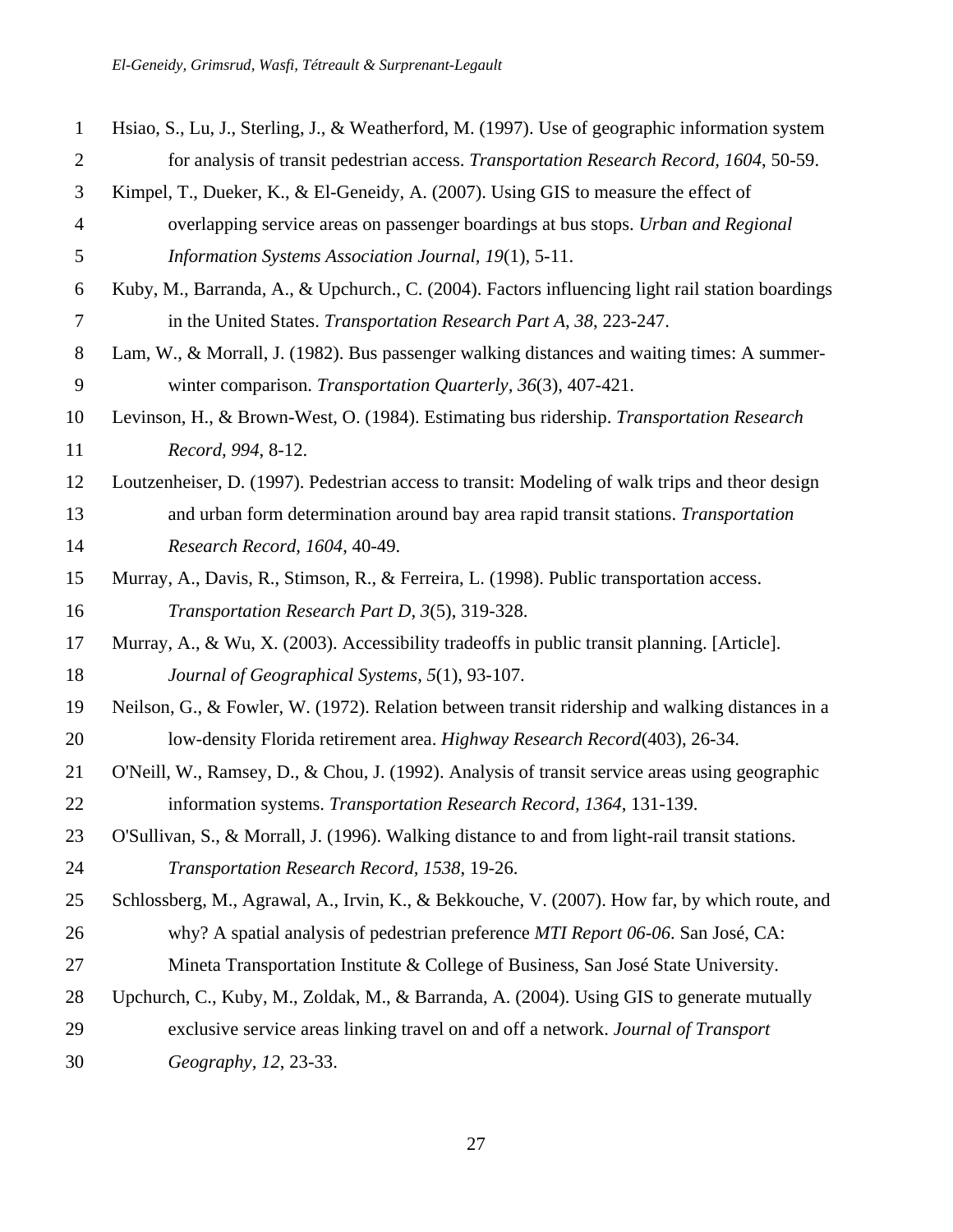| $\mathbf{1}$   | Hsiao, S., Lu, J., Sterling, J., & Weatherford, M. (1997). Use of geographic information system  |
|----------------|--------------------------------------------------------------------------------------------------|
| $\overline{2}$ | for analysis of transit pedestrian access. Transportation Research Record, 1604, 50-59.          |
| 3              | Kimpel, T., Dueker, K., & El-Geneidy, A. (2007). Using GIS to measure the effect of              |
| $\overline{4}$ | overlapping service areas on passenger boardings at bus stops. Urban and Regional                |
| 5              | Information Systems Association Journal, 19(1), 5-11.                                            |
| 6              | Kuby, M., Barranda, A., & Upchurch., C. (2004). Factors influencing light rail station boardings |
| $\tau$         | in the United States. Transportation Research Part A, 38, 223-247.                               |
| 8              | Lam, W., & Morrall, J. (1982). Bus passenger walking distances and waiting times: A summer-      |
| 9              | winter comparison. Transportation Quarterly, 36(3), 407-421.                                     |
| 10             | Levinson, H., & Brown-West, O. (1984). Estimating bus ridership. Transportation Research         |
| 11             | Record, 994, 8-12.                                                                               |
| 12             | Loutzenheiser, D. (1997). Pedestrian access to transit: Modeling of walk trips and theor design  |
| 13             | and urban form determination around bay area rapid transit stations. Transportation              |
| 14             | Research Record, 1604, 40-49.                                                                    |
| 15             | Murray, A., Davis, R., Stimson, R., & Ferreira, L. (1998). Public transportation access.         |
| 16             | Transportation Research Part D, 3(5), 319-328.                                                   |
| 17             | Murray, A., & Wu, X. (2003). Accessibility tradeoffs in public transit planning. [Article].      |
| 18             | Journal of Geographical Systems, 5(1), 93-107.                                                   |
| 19             | Neilson, G., & Fowler, W. (1972). Relation between transit ridership and walking distances in a  |
| 20             | low-density Florida retirement area. Highway Research Record(403), 26-34.                        |
| 21             | O'Neill, W., Ramsey, D., & Chou, J. (1992). Analysis of transit service areas using geographic   |
| 22             | information systems. Transportation Research Record, 1364, 131-139.                              |
| 23             | O'Sullivan, S., & Morrall, J. (1996). Walking distance to and from light-rail transit stations.  |
| 24             | Transportation Research Record, 1538, 19-26.                                                     |
| 25             | Schlossberg, M., Agrawal, A., Irvin, K., & Bekkouche, V. (2007). How far, by which route, and    |
| 26             | why? A spatial analysis of pedestrian preference MTI Report 06-06. San José, CA:                 |
| 27             | Mineta Transportation Institute & College of Business, San José State University.                |
| 28             | Upchurch, C., Kuby, M., Zoldak, M., & Barranda, A. (2004). Using GIS to generate mutually        |
| 29             | exclusive service areas linking travel on and off a network. Journal of Transport                |
| 30             | Geography, 12, 23-33.                                                                            |